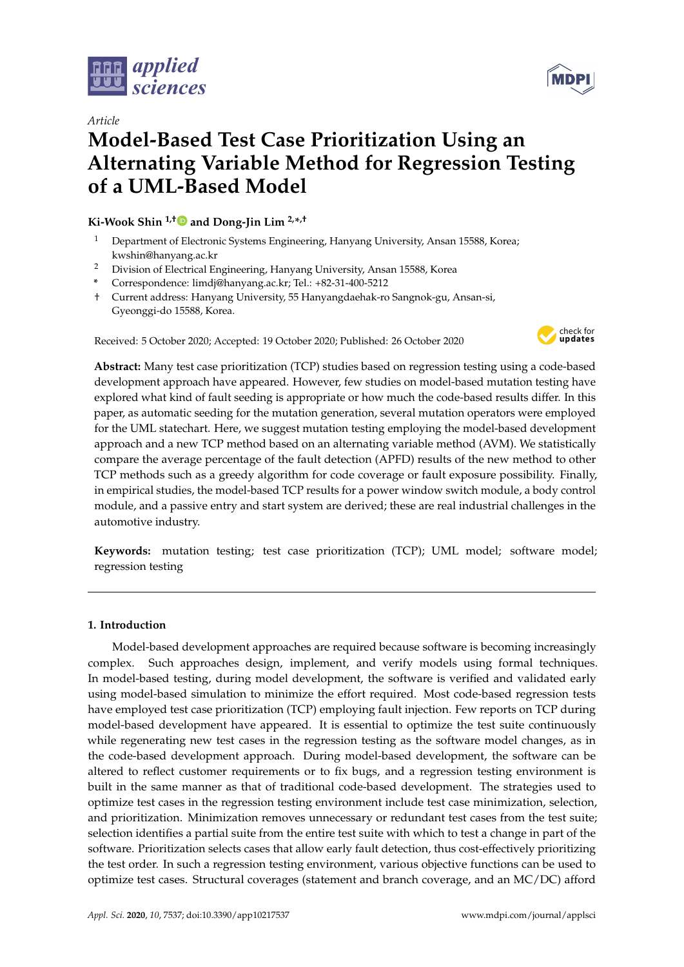

*Article*



# **Alternating Variable Method for Regression Testing of a UML-Based Model**

# **Ki-Wook Shin 1,[†](https://orcid.org/0000-0002-9625-371X) and Dong-Jin Lim 2,\* ,†**

- <sup>1</sup> Department of Electronic Systems Engineering, Hanyang University, Ansan 15588, Korea; kwshin@hanyang.ac.kr
- <sup>2</sup> Division of Electrical Engineering, Hanyang University, Ansan 15588, Korea
- **\*** Correspondence: limdj@hanyang.ac.kr; Tel.: +82-31-400-5212
- † Current address: Hanyang University, 55 Hanyangdaehak-ro Sangnok-gu, Ansan-si, Gyeonggi-do 15588, Korea.

Received: 5 October 2020; Accepted: 19 October 2020; Published: 26 October 2020



**Abstract:** Many test case prioritization (TCP) studies based on regression testing using a code-based development approach have appeared. However, few studies on model-based mutation testing have explored what kind of fault seeding is appropriate or how much the code-based results differ. In this paper, as automatic seeding for the mutation generation, several mutation operators were employed for the UML statechart. Here, we suggest mutation testing employing the model-based development approach and a new TCP method based on an alternating variable method (AVM). We statistically compare the average percentage of the fault detection (APFD) results of the new method to other TCP methods such as a greedy algorithm for code coverage or fault exposure possibility. Finally, in empirical studies, the model-based TCP results for a power window switch module, a body control module, and a passive entry and start system are derived; these are real industrial challenges in the automotive industry.

**Keywords:** mutation testing; test case prioritization (TCP); UML model; software model; regression testing

# **1. Introduction**

Model-based development approaches are required because software is becoming increasingly complex. Such approaches design, implement, and verify models using formal techniques. In model-based testing, during model development, the software is verified and validated early using model-based simulation to minimize the effort required. Most code-based regression tests have employed test case prioritization (TCP) employing fault injection. Few reports on TCP during model-based development have appeared. It is essential to optimize the test suite continuously while regenerating new test cases in the regression testing as the software model changes, as in the code-based development approach. During model-based development, the software can be altered to reflect customer requirements or to fix bugs, and a regression testing environment is built in the same manner as that of traditional code-based development. The strategies used to optimize test cases in the regression testing environment include test case minimization, selection, and prioritization. Minimization removes unnecessary or redundant test cases from the test suite; selection identifies a partial suite from the entire test suite with which to test a change in part of the software. Prioritization selects cases that allow early fault detection, thus cost-effectively prioritizing the test order. In such a regression testing environment, various objective functions can be used to optimize test cases. Structural coverages (statement and branch coverage, and an MC/DC) afford

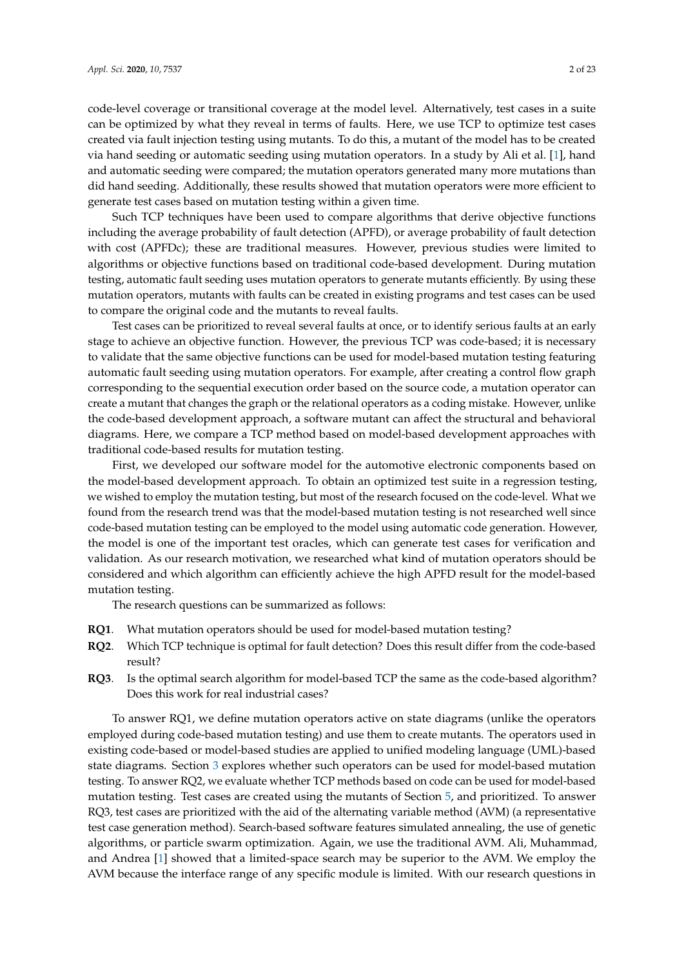code-level coverage or transitional coverage at the model level. Alternatively, test cases in a suite can be optimized by what they reveal in terms of faults. Here, we use TCP to optimize test cases created via fault injection testing using mutants. To do this, a mutant of the model has to be created via hand seeding or automatic seeding using mutation operators. In a study by Ali et al. [\[1\]](#page-20-0), hand and automatic seeding were compared; the mutation operators generated many more mutations than did hand seeding. Additionally, these results showed that mutation operators were more efficient to generate test cases based on mutation testing within a given time.

Such TCP techniques have been used to compare algorithms that derive objective functions including the average probability of fault detection (APFD), or average probability of fault detection with cost (APFDc); these are traditional measures. However, previous studies were limited to algorithms or objective functions based on traditional code-based development. During mutation testing, automatic fault seeding uses mutation operators to generate mutants efficiently. By using these mutation operators, mutants with faults can be created in existing programs and test cases can be used to compare the original code and the mutants to reveal faults.

Test cases can be prioritized to reveal several faults at once, or to identify serious faults at an early stage to achieve an objective function. However, the previous TCP was code-based; it is necessary to validate that the same objective functions can be used for model-based mutation testing featuring automatic fault seeding using mutation operators. For example, after creating a control flow graph corresponding to the sequential execution order based on the source code, a mutation operator can create a mutant that changes the graph or the relational operators as a coding mistake. However, unlike the code-based development approach, a software mutant can affect the structural and behavioral diagrams. Here, we compare a TCP method based on model-based development approaches with traditional code-based results for mutation testing.

First, we developed our software model for the automotive electronic components based on the model-based development approach. To obtain an optimized test suite in a regression testing, we wished to employ the mutation testing, but most of the research focused on the code-level. What we found from the research trend was that the model-based mutation testing is not researched well since code-based mutation testing can be employed to the model using automatic code generation. However, the model is one of the important test oracles, which can generate test cases for verification and validation. As our research motivation, we researched what kind of mutation operators should be considered and which algorithm can efficiently achieve the high APFD result for the model-based mutation testing.

The research questions can be summarized as follows:

- **RQ1**. What mutation operators should be used for model-based mutation testing?
- **RQ2**. Which TCP technique is optimal for fault detection? Does this result differ from the code-based result?
- **RQ3**. Is the optimal search algorithm for model-based TCP the same as the code-based algorithm? Does this work for real industrial cases?

To answer RQ1, we define mutation operators active on state diagrams (unlike the operators employed during code-based mutation testing) and use them to create mutants. The operators used in existing code-based or model-based studies are applied to unified modeling language (UML)-based state diagrams. Section [3](#page-4-0) explores whether such operators can be used for model-based mutation testing. To answer RQ2, we evaluate whether TCP methods based on code can be used for model-based mutation testing. Test cases are created using the mutants of Section [5,](#page-12-0) and prioritized. To answer RQ3, test cases are prioritized with the aid of the alternating variable method (AVM) (a representative test case generation method). Search-based software features simulated annealing, the use of genetic algorithms, or particle swarm optimization. Again, we use the traditional AVM. Ali, Muhammad, and Andrea [\[1\]](#page-20-0) showed that a limited-space search may be superior to the AVM. We employ the AVM because the interface range of any specific module is limited. With our research questions in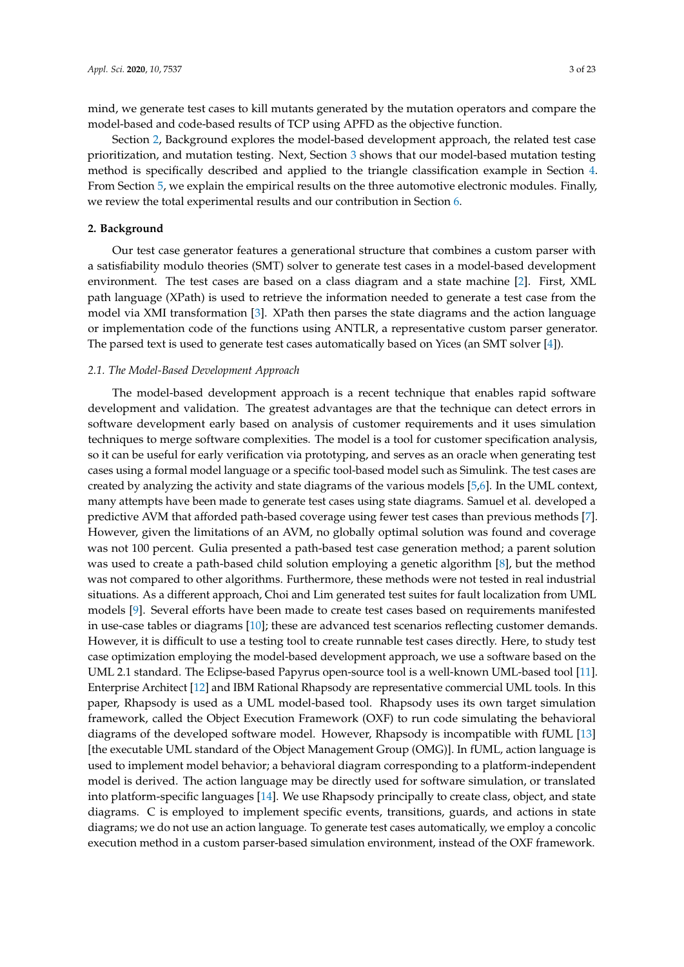mind, we generate test cases to kill mutants generated by the mutation operators and compare the model-based and code-based results of TCP using APFD as the objective function.

Section [2,](#page-2-0) Background explores the model-based development approach, the related test case prioritization, and mutation testing. Next, Section [3](#page-4-0) shows that our model-based mutation testing method is specifically described and applied to the triangle classification example in Section [4.](#page-9-0) From Section [5,](#page-12-0) we explain the empirical results on the three automotive electronic modules. Finally, we review the total experimental results and our contribution in Section [6.](#page-20-1)

# <span id="page-2-0"></span>**2. Background**

Our test case generator features a generational structure that combines a custom parser with a satisfiability modulo theories (SMT) solver to generate test cases in a model-based development environment. The test cases are based on a class diagram and a state machine [\[2\]](#page-20-2). First, XML path language (XPath) is used to retrieve the information needed to generate a test case from the model via XMI transformation [\[3\]](#page-20-3). XPath then parses the state diagrams and the action language or implementation code of the functions using ANTLR, a representative custom parser generator. The parsed text is used to generate test cases automatically based on Yices (an SMT solver [\[4\]](#page-20-4)).

#### *2.1. The Model-Based Development Approach*

The model-based development approach is a recent technique that enables rapid software development and validation. The greatest advantages are that the technique can detect errors in software development early based on analysis of customer requirements and it uses simulation techniques to merge software complexities. The model is a tool for customer specification analysis, so it can be useful for early verification via prototyping, and serves as an oracle when generating test cases using a formal model language or a specific tool-based model such as Simulink. The test cases are created by analyzing the activity and state diagrams of the various models [\[5,](#page-20-5)[6\]](#page-20-6). In the UML context, many attempts have been made to generate test cases using state diagrams. Samuel et al. developed a predictive AVM that afforded path-based coverage using fewer test cases than previous methods [\[7\]](#page-20-7). However, given the limitations of an AVM, no globally optimal solution was found and coverage was not 100 percent. Gulia presented a path-based test case generation method; a parent solution was used to create a path-based child solution employing a genetic algorithm [\[8\]](#page-20-8), but the method was not compared to other algorithms. Furthermore, these methods were not tested in real industrial situations. As a different approach, Choi and Lim generated test suites for fault localization from UML models [\[9\]](#page-20-9). Several efforts have been made to create test cases based on requirements manifested in use-case tables or diagrams [\[10\]](#page-21-0); these are advanced test scenarios reflecting customer demands. However, it is difficult to use a testing tool to create runnable test cases directly. Here, to study test case optimization employing the model-based development approach, we use a software based on the UML 2.1 standard. The Eclipse-based Papyrus open-source tool is a well-known UML-based tool [\[11\]](#page-21-1). Enterprise Architect [\[12\]](#page-21-2) and IBM Rational Rhapsody are representative commercial UML tools. In this paper, Rhapsody is used as a UML model-based tool. Rhapsody uses its own target simulation framework, called the Object Execution Framework (OXF) to run code simulating the behavioral diagrams of the developed software model. However, Rhapsody is incompatible with fUML [\[13\]](#page-21-3) [the executable UML standard of the Object Management Group (OMG)]. In fUML, action language is used to implement model behavior; a behavioral diagram corresponding to a platform-independent model is derived. The action language may be directly used for software simulation, or translated into platform-specific languages [\[14\]](#page-21-4). We use Rhapsody principally to create class, object, and state diagrams. C is employed to implement specific events, transitions, guards, and actions in state diagrams; we do not use an action language. To generate test cases automatically, we employ a concolic execution method in a custom parser-based simulation environment, instead of the OXF framework.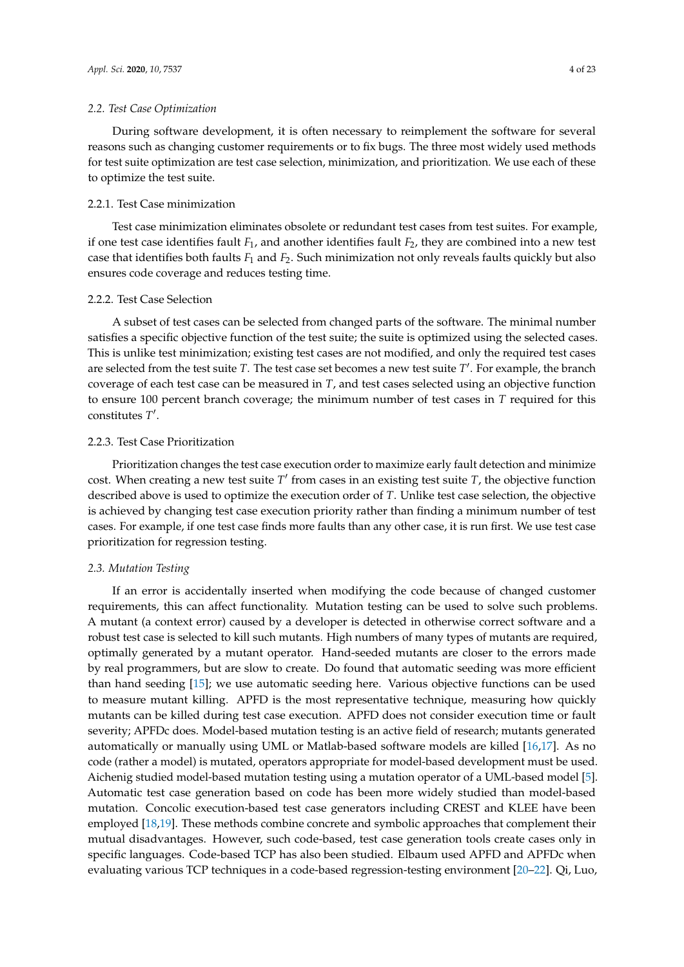During software development, it is often necessary to reimplement the software for several reasons such as changing customer requirements or to fix bugs. The three most widely used methods for test suite optimization are test case selection, minimization, and prioritization. We use each of these to optimize the test suite.

#### 2.2.1. Test Case minimization

Test case minimization eliminates obsolete or redundant test cases from test suites. For example, if one test case identifies fault  $F_1$ , and another identifies fault  $F_2$ , they are combined into a new test case that identifies both faults *F*<sup>1</sup> and *F*2. Such minimization not only reveals faults quickly but also ensures code coverage and reduces testing time.

# 2.2.2. Test Case Selection

A subset of test cases can be selected from changed parts of the software. The minimal number satisfies a specific objective function of the test suite; the suite is optimized using the selected cases. This is unlike test minimization; existing test cases are not modified, and only the required test cases are selected from the test suite *T*. The test case set becomes a new test suite *T'*. For example, the branch coverage of each test case can be measured in *T*, and test cases selected using an objective function to ensure 100 percent branch coverage; the minimum number of test cases in *T* required for this constitutes  $T'$ .

#### 2.2.3. Test Case Prioritization

Prioritization changes the test case execution order to maximize early fault detection and minimize cost. When creating a new test suite  $T'$  from cases in an existing test suite  $T$ , the objective function described above is used to optimize the execution order of *T*. Unlike test case selection, the objective is achieved by changing test case execution priority rather than finding a minimum number of test cases. For example, if one test case finds more faults than any other case, it is run first. We use test case prioritization for regression testing.

#### *2.3. Mutation Testing*

If an error is accidentally inserted when modifying the code because of changed customer requirements, this can affect functionality. Mutation testing can be used to solve such problems. A mutant (a context error) caused by a developer is detected in otherwise correct software and a robust test case is selected to kill such mutants. High numbers of many types of mutants are required, optimally generated by a mutant operator. Hand-seeded mutants are closer to the errors made by real programmers, but are slow to create. Do found that automatic seeding was more efficient than hand seeding [\[15\]](#page-21-5); we use automatic seeding here. Various objective functions can be used to measure mutant killing. APFD is the most representative technique, measuring how quickly mutants can be killed during test case execution. APFD does not consider execution time or fault severity; APFDc does. Model-based mutation testing is an active field of research; mutants generated automatically or manually using UML or Matlab-based software models are killed [\[16,](#page-21-6)[17\]](#page-21-7). As no code (rather a model) is mutated, operators appropriate for model-based development must be used. Aichenig studied model-based mutation testing using a mutation operator of a UML-based model [\[5\]](#page-20-5). Automatic test case generation based on code has been more widely studied than model-based mutation. Concolic execution-based test case generators including CREST and KLEE have been employed [\[18,](#page-21-8)[19\]](#page-21-9). These methods combine concrete and symbolic approaches that complement their mutual disadvantages. However, such code-based, test case generation tools create cases only in specific languages. Code-based TCP has also been studied. Elbaum used APFD and APFDc when evaluating various TCP techniques in a code-based regression-testing environment [\[20](#page-21-10)[–22\]](#page-21-11). Qi, Luo,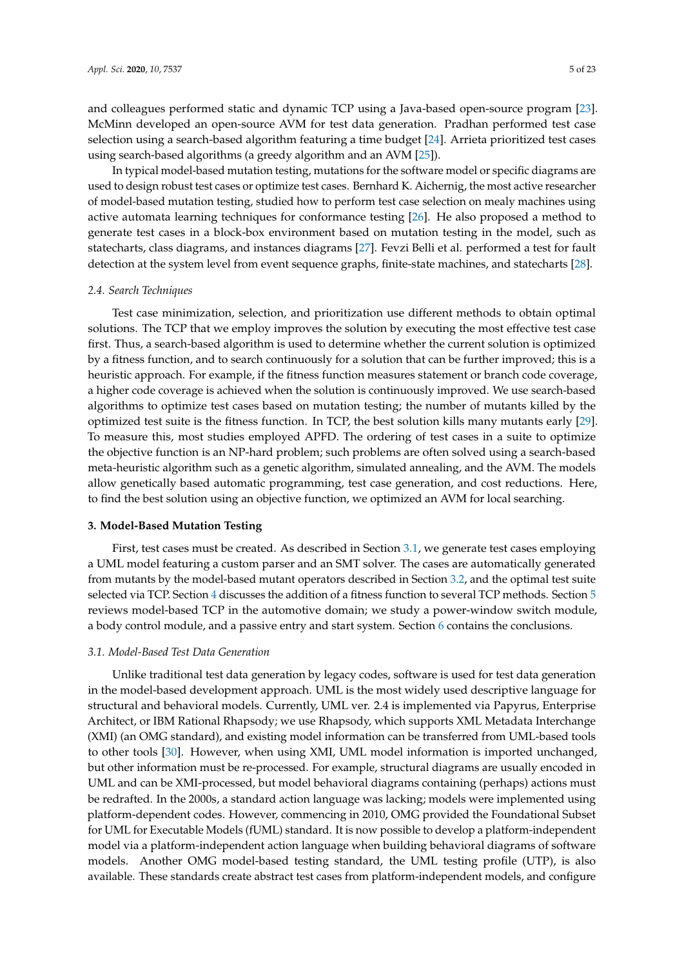and colleagues performed static and dynamic TCP using a Java-based open-source program [\[23\]](#page-21-12). McMinn developed an open-source AVM for test data generation. Pradhan performed test case selection using a search-based algorithm featuring a time budget [\[24\]](#page-21-13). Arrieta prioritized test cases using search-based algorithms (a greedy algorithm and an AVM [\[25\]](#page-21-14)).

In typical model-based mutation testing, mutations for the software model or specific diagrams are used to design robust test cases or optimize test cases. Bernhard K. Aichernig, the most active researcher of model-based mutation testing, studied how to perform test case selection on mealy machines using active automata learning techniques for conformance testing [\[26\]](#page-21-15). He also proposed a method to generate test cases in a block-box environment based on mutation testing in the model, such as statecharts, class diagrams, and instances diagrams [\[27\]](#page-21-16). Fevzi Belli et al. performed a test for fault detection at the system level from event sequence graphs, finite-state machines, and statecharts [\[28\]](#page-21-17).

### *2.4. Search Techniques*

Test case minimization, selection, and prioritization use different methods to obtain optimal solutions. The TCP that we employ improves the solution by executing the most effective test case first. Thus, a search-based algorithm is used to determine whether the current solution is optimized by a fitness function, and to search continuously for a solution that can be further improved; this is a heuristic approach. For example, if the fitness function measures statement or branch code coverage, a higher code coverage is achieved when the solution is continuously improved. We use search-based algorithms to optimize test cases based on mutation testing; the number of mutants killed by the optimized test suite is the fitness function. In TCP, the best solution kills many mutants early [\[29\]](#page-21-18). To measure this, most studies employed APFD. The ordering of test cases in a suite to optimize the objective function is an NP-hard problem; such problems are often solved using a search-based meta-heuristic algorithm such as a genetic algorithm, simulated annealing, and the AVM. The models allow genetically based automatic programming, test case generation, and cost reductions. Here, to find the best solution using an objective function, we optimized an AVM for local searching.

# <span id="page-4-0"></span>**3. Model-Based Mutation Testing**

First, test cases must be created. As described in Section [3.1,](#page-4-1) we generate test cases employing a UML model featuring a custom parser and an SMT solver. The cases are automatically generated from mutants by the model-based mutant operators described in Section [3.2,](#page-5-0) and the optimal test suite selected via TCP. Section [4](#page-9-0) discusses the addition of a fitness function to several TCP methods. Section [5](#page-12-0) reviews model-based TCP in the automotive domain; we study a power-window switch module, a body control module, and a passive entry and start system. Section [6](#page-20-1) contains the conclusions.

#### <span id="page-4-1"></span>*3.1. Model-Based Test Data Generation*

Unlike traditional test data generation by legacy codes, software is used for test data generation in the model-based development approach. UML is the most widely used descriptive language for structural and behavioral models. Currently, UML ver. 2.4 is implemented via Papyrus, Enterprise Architect, or IBM Rational Rhapsody; we use Rhapsody, which supports XML Metadata Interchange (XMI) (an OMG standard), and existing model information can be transferred from UML-based tools to other tools [\[30\]](#page-21-19). However, when using XMI, UML model information is imported unchanged, but other information must be re-processed. For example, structural diagrams are usually encoded in UML and can be XMI-processed, but model behavioral diagrams containing (perhaps) actions must be redrafted. In the 2000s, a standard action language was lacking; models were implemented using platform-dependent codes. However, commencing in 2010, OMG provided the Foundational Subset for UML for Executable Models (fUML) standard. It is now possible to develop a platform-independent model via a platform-independent action language when building behavioral diagrams of software models. Another OMG model-based testing standard, the UML testing profile (UTP), is also available. These standards create abstract test cases from platform-independent models, and configure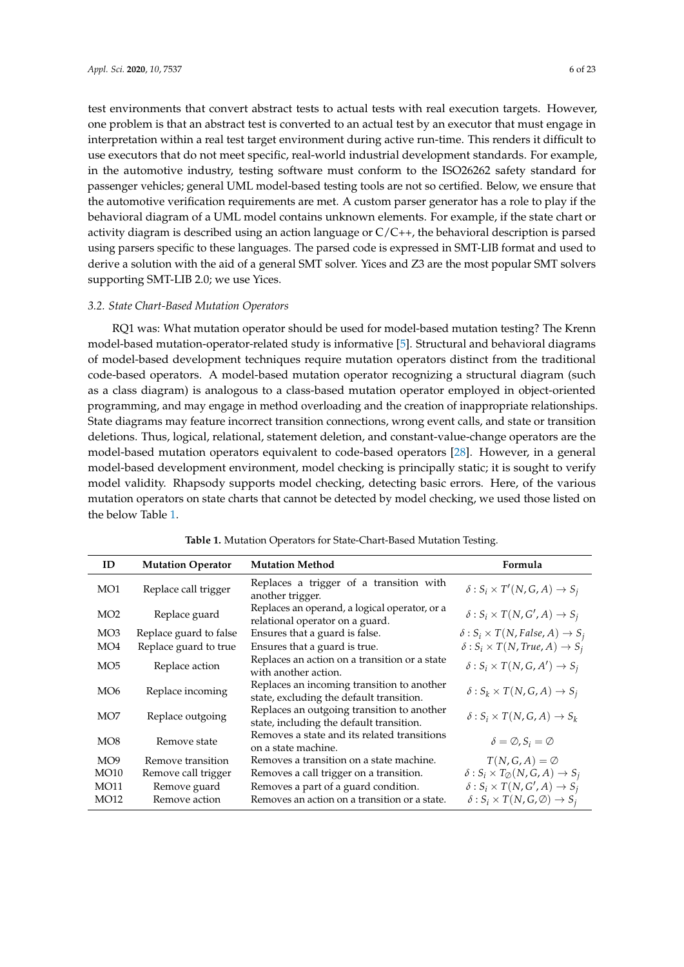test environments that convert abstract tests to actual tests with real execution targets. However, one problem is that an abstract test is converted to an actual test by an executor that must engage in interpretation within a real test target environment during active run-time. This renders it difficult to use executors that do not meet specific, real-world industrial development standards. For example, in the automotive industry, testing software must conform to the ISO26262 safety standard for passenger vehicles; general UML model-based testing tools are not so certified. Below, we ensure that the automotive verification requirements are met. A custom parser generator has a role to play if the behavioral diagram of a UML model contains unknown elements. For example, if the state chart or activity diagram is described using an action language or  $C/C++$ , the behavioral description is parsed using parsers specific to these languages. The parsed code is expressed in SMT-LIB format and used to derive a solution with the aid of a general SMT solver. Yices and Z3 are the most popular SMT solvers supporting SMT-LIB 2.0; we use Yices.

# <span id="page-5-0"></span>*3.2. State Chart-Based Mutation Operators*

RQ1 was: What mutation operator should be used for model-based mutation testing? The Krenn model-based mutation-operator-related study is informative [\[5\]](#page-20-5). Structural and behavioral diagrams of model-based development techniques require mutation operators distinct from the traditional code-based operators. A model-based mutation operator recognizing a structural diagram (such as a class diagram) is analogous to a class-based mutation operator employed in object-oriented programming, and may engage in method overloading and the creation of inappropriate relationships. State diagrams may feature incorrect transition connections, wrong event calls, and state or transition deletions. Thus, logical, relational, statement deletion, and constant-value-change operators are the model-based mutation operators equivalent to code-based operators [\[28\]](#page-21-17). However, in a general model-based development environment, model checking is principally static; it is sought to verify model validity. Rhapsody supports model checking, detecting basic errors. Here, of the various mutation operators on state charts that cannot be detected by model checking, we used those listed on the below Table [1.](#page-5-1)

<span id="page-5-1"></span>

| ID              | <b>Mutation Operator</b> | <b>Mutation Method</b>                                                                 | Formula                                                     |
|-----------------|--------------------------|----------------------------------------------------------------------------------------|-------------------------------------------------------------|
| MO1             | Replace call trigger     | Replaces a trigger of a transition with<br>another trigger.                            | $\delta: S_i \times T'(N, G, A) \rightarrow S_i$            |
| MO <sub>2</sub> | Replace guard            | Replaces an operand, a logical operator, or a<br>relational operator on a guard.       | $\delta$ : $S_i \times T(N, G', A) \rightarrow S_i$         |
| MO <sub>3</sub> | Replace guard to false   | Ensures that a guard is false.                                                         | $\delta$ : $S_i \times T(N, False, A) \rightarrow S_i$      |
| MO <sub>4</sub> | Replace guard to true    | Ensures that a guard is true.                                                          | $\delta$ : $S_i \times T(N, True, A) \rightarrow S_i$       |
| MO <sub>5</sub> | Replace action           | Replaces an action on a transition or a state<br>with another action.                  | $\delta: S_i \times T(N, G, A') \rightarrow S_i$            |
| MO <sub>6</sub> | Replace incoming         | Replaces an incoming transition to another<br>state, excluding the default transition. | $\delta: S_k \times T(N, G, A) \rightarrow S_i$             |
| MO7             | Replace outgoing         | Replaces an outgoing transition to another<br>state, including the default transition. | $\delta: S_i \times T(N, G, A) \rightarrow S_k$             |
| MO <sub>8</sub> | Remove state             | Removes a state and its related transitions<br>on a state machine.                     | $\delta = \emptyset$ , $S_i = \emptyset$                    |
| MO9             | Remove transition        | Removes a transition on a state machine.                                               | $T(N,G,A)=\emptyset$                                        |
| MO10            | Remove call trigger      | Removes a call trigger on a transition.                                                | $\delta: S_i \times T_{\emptyset}(N, G, A) \rightarrow S_i$ |
| <b>MO11</b>     | Remove guard             | Removes a part of a guard condition.                                                   | $\delta$ : $S_i \times T(N, G', A) \rightarrow S_i$         |
| MO12            | Remove action            | Removes an action on a transition or a state.                                          | $\delta: S_i \times T(N, G, \emptyset) \rightarrow S_i$     |

**Table 1.** Mutation Operators for State-Chart-Based Mutation Testing.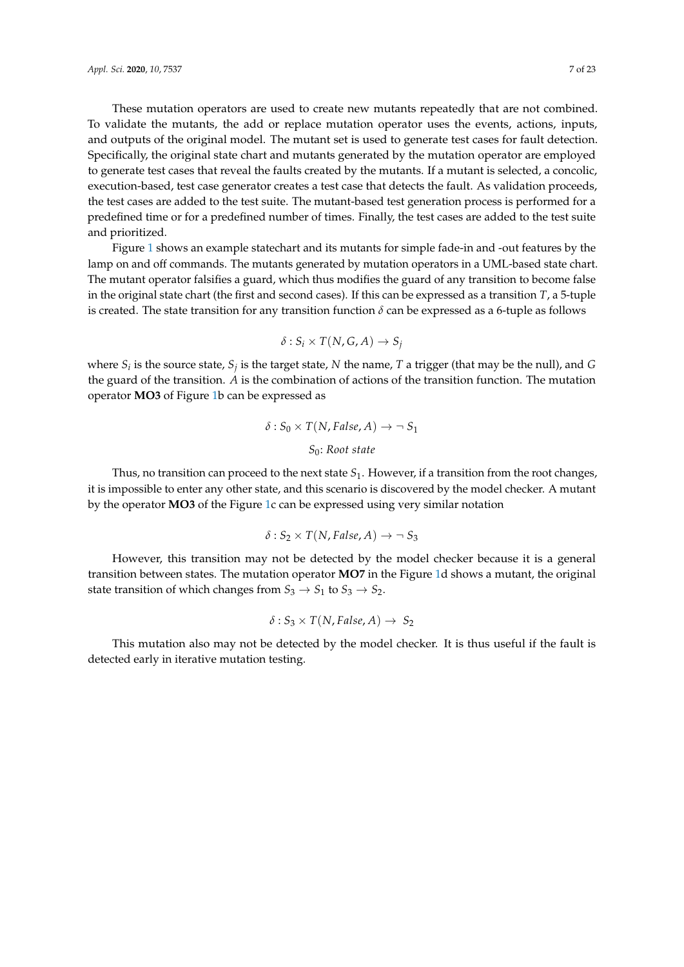These mutation operators are used to create new mutants repeatedly that are not combined. To validate the mutants, the add or replace mutation operator uses the events, actions, inputs, and outputs of the original model. The mutant set is used to generate test cases for fault detection. Specifically, the original state chart and mutants generated by the mutation operator are employed to generate test cases that reveal the faults created by the mutants. If a mutant is selected, a concolic, execution-based, test case generator creates a test case that detects the fault. As validation proceeds, the test cases are added to the test suite. The mutant-based test generation process is performed for a predefined time or for a predefined number of times. Finally, the test cases are added to the test suite and prioritized.

Figure [1](#page-7-0) shows an example statechart and its mutants for simple fade-in and -out features by the lamp on and off commands. The mutants generated by mutation operators in a UML-based state chart. The mutant operator falsifies a guard, which thus modifies the guard of any transition to become false in the original state chart (the first and second cases). If this can be expressed as a transition *T*, a 5-tuple is created. The state transition for any transition function  $\delta$  can be expressed as a 6-tuple as follows

$$
\delta: S_i \times T(N, G, A) \to S_j
$$

where  $S_i$  is the source state,  $S_j$  is the target state, N the name, T a trigger (that may be the null), and *G* the guard of the transition. *A* is the combination of actions of the transition function. The mutation operator **MO3** of Figure [1b](#page-7-0) can be expressed as

$$
\delta: S_0 \times T(N, False, A) \to \neg S_1
$$
  

$$
S_0: Root state
$$

Thus, no transition can proceed to the next state *S*1. However, if a transition from the root changes, it is impossible to enter any other state, and this scenario is discovered by the model checker. A mutant by the operator **MO3** of the Figure [1c](#page-7-0) can be expressed using very similar notation

$$
\delta: S_2 \times T(N, False, A) \rightarrow \neg S_3
$$

However, this transition may not be detected by the model checker because it is a general transition between states. The mutation operator **MO7** in the Figure [1d](#page-7-0) shows a mutant, the original state transition of which changes from  $S_3 \rightarrow S_1$  to  $S_3 \rightarrow S_2$ .

$$
\delta: S_3 \times T(N, False, A) \rightarrow S_2
$$

This mutation also may not be detected by the model checker. It is thus useful if the fault is detected early in iterative mutation testing.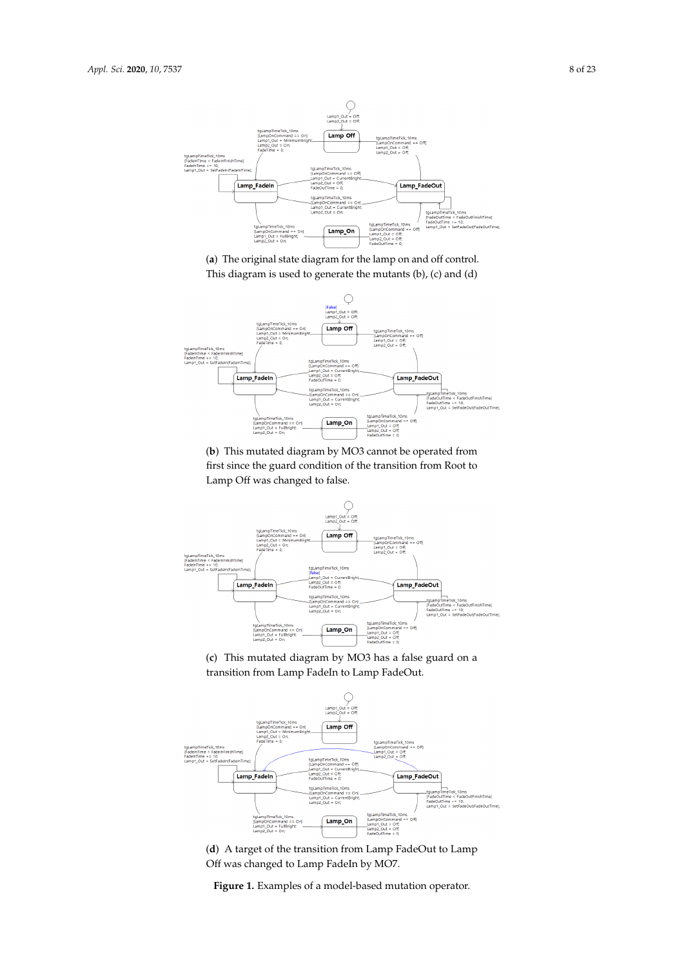<span id="page-7-0"></span>

(**a**) The original state diagram for the lamp on and off control. This diagram is used to generate the mutants (b), (c) and (d)



(**b**) This mutated diagram by MO3 cannot be operated from first since the guard condition of the transition from Root to Lamp Off was changed to false.



(**c**) This mutated diagram by MO3 has a false guard on a transition from Lamp FadeIn to Lamp FadeOut.



(**d**) A target of the transition from Lamp FadeOut to Lamp Off was changed to Lamp FadeIn by MO7.

**Figure 1.** Examples of a model-based mutation operator.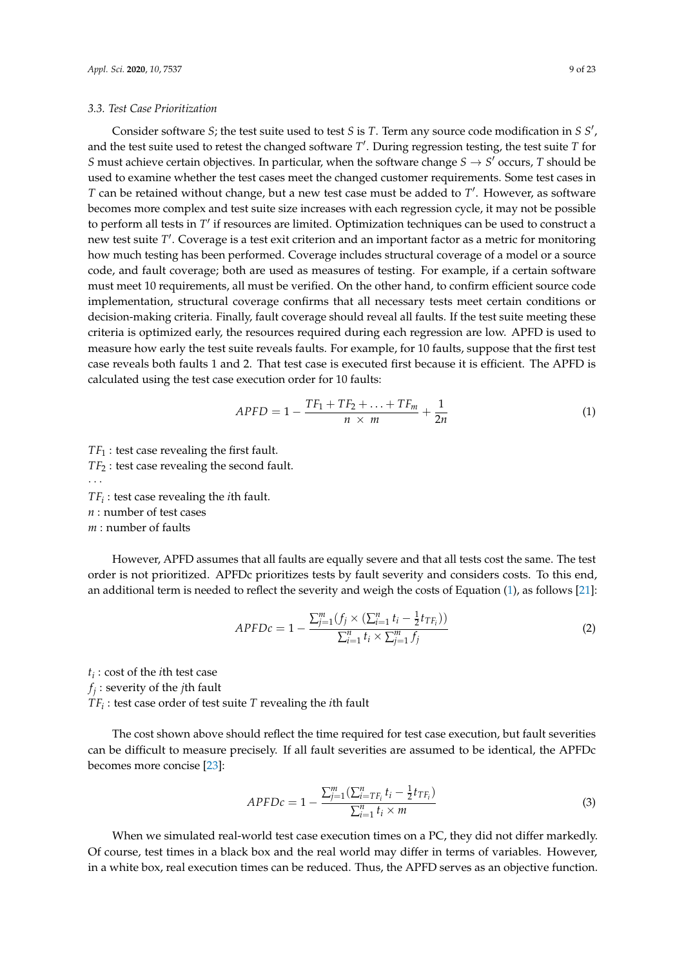# *3.3. Test Case Prioritization*

Consider software *S*; the test suite used to test *S* is *T*. Term any source code modification in *S S'*, and the test suite used to retest the changed software  $T'$ . During regression testing, the test suite *T* for *S* must achieve certain objectives. In particular, when the software change  $S \to S'$  occurs, *T* should be used to examine whether the test cases meet the changed customer requirements. Some test cases in T can be retained without change, but a new test case must be added to T'. However, as software becomes more complex and test suite size increases with each regression cycle, it may not be possible to perform all tests in T' if resources are limited. Optimization techniques can be used to construct a new test suite T<sup>'</sup>. Coverage is a test exit criterion and an important factor as a metric for monitoring how much testing has been performed. Coverage includes structural coverage of a model or a source code, and fault coverage; both are used as measures of testing. For example, if a certain software must meet 10 requirements, all must be verified. On the other hand, to confirm efficient source code implementation, structural coverage confirms that all necessary tests meet certain conditions or decision-making criteria. Finally, fault coverage should reveal all faults. If the test suite meeting these criteria is optimized early, the resources required during each regression are low. APFD is used to measure how early the test suite reveals faults. For example, for 10 faults, suppose that the first test case reveals both faults 1 and 2. That test case is executed first because it is efficient. The APFD is calculated using the test case execution order for 10 faults:

<span id="page-8-0"></span>
$$
APFD = 1 - \frac{TF_1 + TF_2 + \dots + TF_m}{n \times m} + \frac{1}{2n}
$$
 (1)

*TF*<sup>1</sup> : test case revealing the first fault. *TF*<sup>2</sup> : test case revealing the second fault. · · ·

*TF<sup>i</sup>* : test case revealing the *i*th fault. *n* : number of test cases *m* : number of faults

However, APFD assumes that all faults are equally severe and that all tests cost the same. The test order is not prioritized. APFDc prioritizes tests by fault severity and considers costs. To this end, an additional term is needed to reflect the severity and weigh the costs of Equation [\(1\)](#page-8-0), as follows [\[21\]](#page-21-20):

$$
APFDc = 1 - \frac{\sum_{j=1}^{m} (f_j \times (\sum_{i=1}^{n} t_i - \frac{1}{2} t_{TF_i}))}{\sum_{i=1}^{n} t_i \times \sum_{j=1}^{m} f_j}
$$
(2)

*ti* : cost of the *i*th test case *fj* : severity of the *j*th fault *TF<sup>i</sup>* : test case order of test suite *T* revealing the *i*th fault

The cost shown above should reflect the time required for test case execution, but fault severities can be difficult to measure precisely. If all fault severities are assumed to be identical, the APFDc becomes more concise [\[23\]](#page-21-12):

$$
APFDc = 1 - \frac{\sum_{j=1}^{m} (\sum_{i=TF_i}^{n} t_i - \frac{1}{2} t_{TF_i})}{\sum_{i=1}^{n} t_i \times m}
$$
(3)

When we simulated real-world test case execution times on a PC, they did not differ markedly. Of course, test times in a black box and the real world may differ in terms of variables. However, in a white box, real execution times can be reduced. Thus, the APFD serves as an objective function.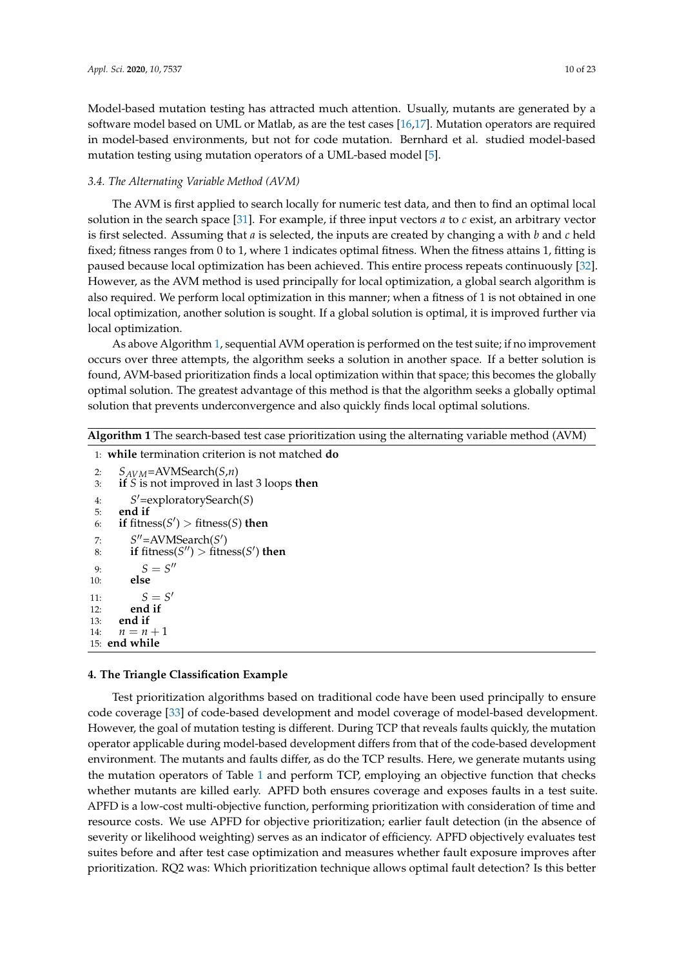Model-based mutation testing has attracted much attention. Usually, mutants are generated by a software model based on UML or Matlab, as are the test cases [\[16,](#page-21-6)[17\]](#page-21-7). Mutation operators are required in model-based environments, but not for code mutation. Bernhard et al. studied model-based mutation testing using mutation operators of a UML-based model [\[5\]](#page-20-5).

# *3.4. The Alternating Variable Method (AVM)*

The AVM is first applied to search locally for numeric test data, and then to find an optimal local solution in the search space [\[31\]](#page-22-0). For example, if three input vectors *a* to *c* exist, an arbitrary vector is first selected. Assuming that *a* is selected, the inputs are created by changing a with *b* and *c* held fixed; fitness ranges from 0 to 1, where 1 indicates optimal fitness. When the fitness attains 1, fitting is paused because local optimization has been achieved. This entire process repeats continuously [\[32\]](#page-22-1). However, as the AVM method is used principally for local optimization, a global search algorithm is also required. We perform local optimization in this manner; when a fitness of 1 is not obtained in one local optimization, another solution is sought. If a global solution is optimal, it is improved further via local optimization.

As above Algorithm [1,](#page-9-1) sequential AVM operation is performed on the test suite; if no improvement occurs over three attempts, the algorithm seeks a solution in another space. If a better solution is found, AVM-based prioritization finds a local optimization within that space; this becomes the globally optimal solution. The greatest advantage of this method is that the algorithm seeks a globally optimal solution that prevents underconvergence and also quickly finds local optimal solutions.

<span id="page-9-1"></span>

| Algorithm 1 The search-based test case prioritization using the alternating variable method (AVM) |  |  |  |  |
|---------------------------------------------------------------------------------------------------|--|--|--|--|
| 1: while termination criterion is not matched $do$                                                |  |  |  |  |
| $S_{AVM}$ =AVMSearch(S,n)<br>2:<br>if $S$ is not improved in last 3 loops then<br>3:              |  |  |  |  |
| $S'$ =exploratorySearch(S)<br>4:<br>end if<br>5:<br>if fitness( $S'$ ) > fitness(S) then<br>6:    |  |  |  |  |
| $S'' = AVMSearch(S')$<br>7:<br>if fitness(S'') > fitness(S') then<br>8:                           |  |  |  |  |
| $S = S''$<br>9:<br>else<br>10:                                                                    |  |  |  |  |
| $S = S'$<br>11:<br>end if<br>12:<br>end if                                                        |  |  |  |  |
| 13:<br>$n = n + 1$<br>14:<br>15: end while                                                        |  |  |  |  |

#### <span id="page-9-0"></span>**4. The Triangle Classification Example**

Test prioritization algorithms based on traditional code have been used principally to ensure code coverage [\[33\]](#page-22-2) of code-based development and model coverage of model-based development. However, the goal of mutation testing is different. During TCP that reveals faults quickly, the mutation operator applicable during model-based development differs from that of the code-based development environment. The mutants and faults differ, as do the TCP results. Here, we generate mutants using the mutation operators of Table [1](#page-5-1) and perform TCP, employing an objective function that checks whether mutants are killed early. APFD both ensures coverage and exposes faults in a test suite. APFD is a low-cost multi-objective function, performing prioritization with consideration of time and resource costs. We use APFD for objective prioritization; earlier fault detection (in the absence of severity or likelihood weighting) serves as an indicator of efficiency. APFD objectively evaluates test suites before and after test case optimization and measures whether fault exposure improves after prioritization. RQ2 was: Which prioritization technique allows optimal fault detection? Is this better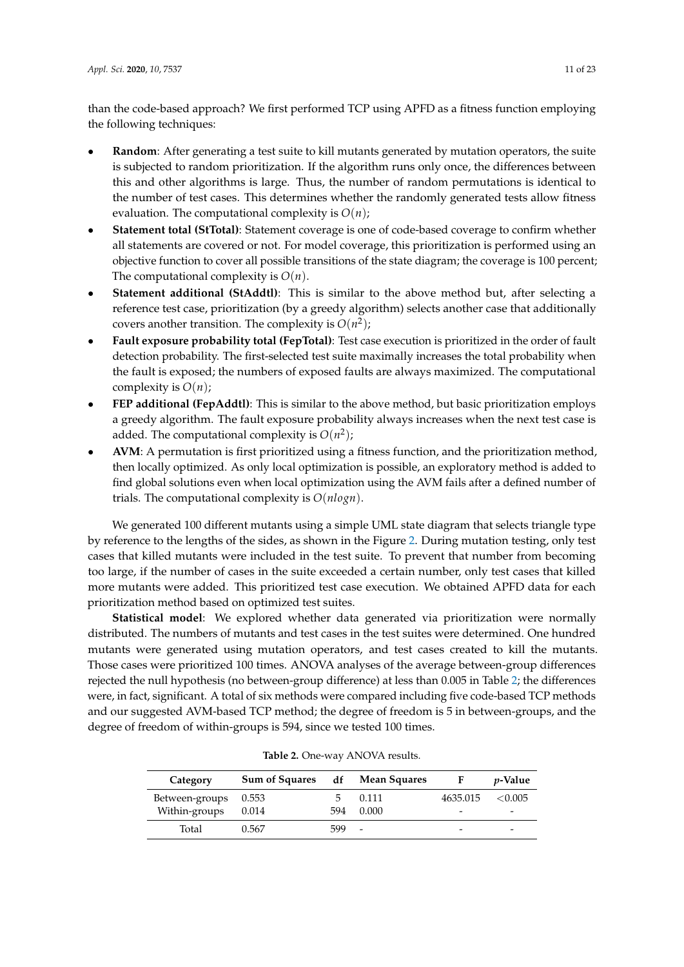than the code-based approach? We first performed TCP using APFD as a fitness function employing the following techniques:

- **Random**: After generating a test suite to kill mutants generated by mutation operators, the suite is subjected to random prioritization. If the algorithm runs only once, the differences between this and other algorithms is large. Thus, the number of random permutations is identical to the number of test cases. This determines whether the randomly generated tests allow fitness evaluation. The computational complexity is  $O(n)$ ;
- **Statement total (StTotal)**: Statement coverage is one of code-based coverage to confirm whether all statements are covered or not. For model coverage, this prioritization is performed using an objective function to cover all possible transitions of the state diagram; the coverage is 100 percent; The computational complexity is *O*(*n*).
- **Statement additional (StAddtl)**: This is similar to the above method but, after selecting a reference test case, prioritization (by a greedy algorithm) selects another case that additionally covers another transition. The complexity is  $O(n^2)$ ;
- **Fault exposure probability total (FepTotal)**: Test case execution is prioritized in the order of fault detection probability. The first-selected test suite maximally increases the total probability when the fault is exposed; the numbers of exposed faults are always maximized. The computational complexity is *O*(*n*);
- **FEP additional (FepAddtl)**: This is similar to the above method, but basic prioritization employs a greedy algorithm. The fault exposure probability always increases when the next test case is added. The computational complexity is  $O(n^2)$ ;
- **AVM**: A permutation is first prioritized using a fitness function, and the prioritization method, then locally optimized. As only local optimization is possible, an exploratory method is added to find global solutions even when local optimization using the AVM fails after a defined number of trials. The computational complexity is *O*(*nlogn*).

We generated 100 different mutants using a simple UML state diagram that selects triangle type by reference to the lengths of the sides, as shown in the Figure [2.](#page-11-0) During mutation testing, only test cases that killed mutants were included in the test suite. To prevent that number from becoming too large, if the number of cases in the suite exceeded a certain number, only test cases that killed more mutants were added. This prioritized test case execution. We obtained APFD data for each prioritization method based on optimized test suites.

**Statistical model**: We explored whether data generated via prioritization were normally distributed. The numbers of mutants and test cases in the test suites were determined. One hundred mutants were generated using mutation operators, and test cases created to kill the mutants. Those cases were prioritized 100 times. ANOVA analyses of the average between-group differences rejected the null hypothesis (no between-group difference) at less than 0.005 in Table [2;](#page-10-0) the differences were, in fact, significant. A total of six methods were compared including five code-based TCP methods and our suggested AVM-based TCP method; the degree of freedom is 5 in between-groups, and the degree of freedom of within-groups is 594, since we tested 100 times.

<span id="page-10-0"></span>

| Category                        | <b>Sum of Squares</b> |     | df Mean Squares          |                                      | <i>v</i> -Value                     |
|---------------------------------|-----------------------|-----|--------------------------|--------------------------------------|-------------------------------------|
| Between-groups<br>Within-groups | 0.553<br>0.014        | 594 | 0.111<br>0.000           | 4635.015<br>$\overline{\phantom{0}}$ | < 0.005<br>$\overline{\phantom{0}}$ |
| Total                           | 0.567                 | 599 | $\overline{\phantom{a}}$ | $\overline{\phantom{0}}$             | -                                   |

**Table 2.** One-way ANOVA results.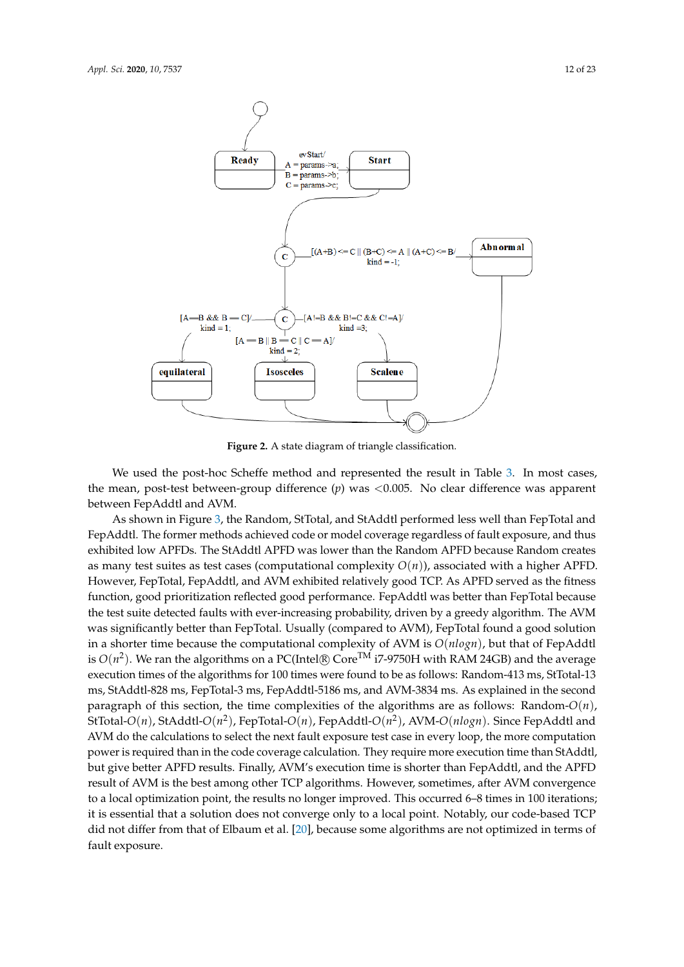<span id="page-11-0"></span>

**Figure 2.** A state diagram of triangle classification.

We used the post-hoc Scheffe method and represented the result in Table [3.](#page-12-1) In most cases, the mean, post-test between-group difference (*p*) was <0.005. No clear difference was apparent between FepAddtl and AVM.

As shown in Figure [3,](#page-12-2) the Random, StTotal, and StAddtl performed less well than FepTotal and FepAddtl. The former methods achieved code or model coverage regardless of fault exposure, and thus exhibited low APFDs. The StAddtl APFD was lower than the Random APFD because Random creates as many test suites as test cases (computational complexity *O*(*n*)), associated with a higher APFD. However, FepTotal, FepAddtl, and AVM exhibited relatively good TCP. As APFD served as the fitness function, good prioritization reflected good performance. FepAddtl was better than FepTotal because the test suite detected faults with ever-increasing probability, driven by a greedy algorithm. The AVM was significantly better than FepTotal. Usually (compared to AVM), FepTotal found a good solution in a shorter time because the computational complexity of AVM is *O*(*nlogn*), but that of FepAddtl is  $O(n^2)$ . We ran the algorithms on a PC(Intel® Core<sup>TM</sup> i7-9750H with RAM 24GB) and the average execution times of the algorithms for 100 times were found to be as follows: Random-413 ms, StTotal-13 ms, StAddtl-828 ms, FepTotal-3 ms, FepAddtl-5186 ms, and AVM-3834 ms. As explained in the second paragraph of this section, the time complexities of the algorithms are as follows: Random-*O*(*n*), StTotal-*O*(*n*), StAddtl-*O*(*n* 2 ), FepTotal-*O*(*n*), FepAddtl-*O*(*n* 2 ), AVM-*O*(*nlogn*). Since FepAddtl and AVM do the calculations to select the next fault exposure test case in every loop, the more computation power is required than in the code coverage calculation. They require more execution time than StAddtl, but give better APFD results. Finally, AVM's execution time is shorter than FepAddtl, and the APFD result of AVM is the best among other TCP algorithms. However, sometimes, after AVM convergence to a local optimization point, the results no longer improved. This occurred 6–8 times in 100 iterations; it is essential that a solution does not converge only to a local point. Notably, our code-based TCP did not differ from that of Elbaum et al. [\[20\]](#page-21-10), because some algorithms are not optimized in terms of fault exposure.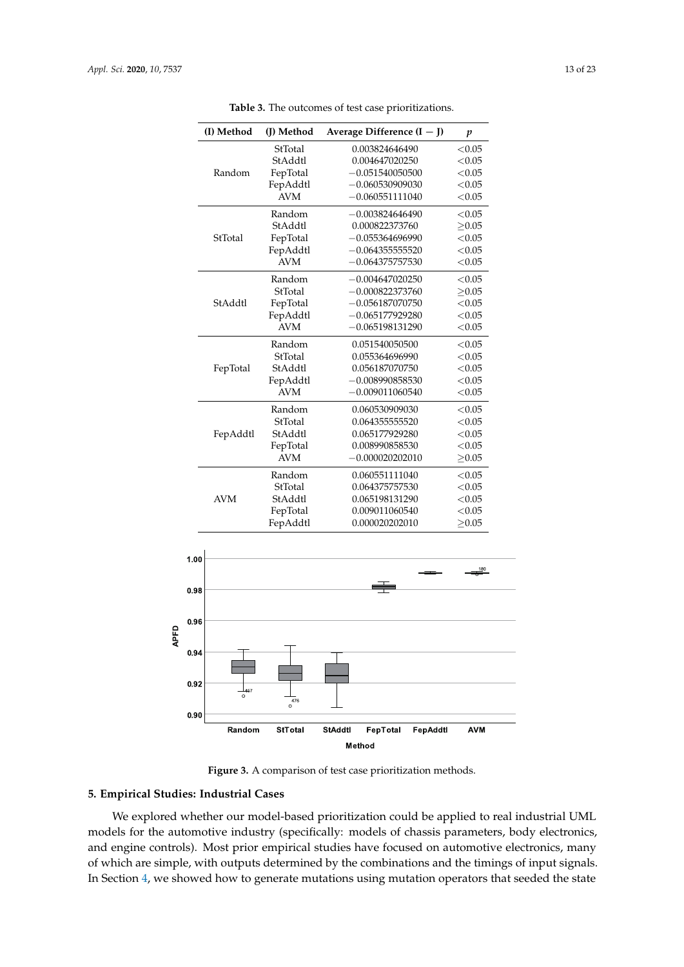<span id="page-12-1"></span>

| (I) Method | (J) Method | Average Difference $(I - J)$ | p           |
|------------|------------|------------------------------|-------------|
|            | StTotal    | 0.003824646490               | < 0.05      |
|            | StAddtl    | 0.004647020250               | < 0.05      |
| Random     | FepTotal   | $-0.051540050500$            | < 0.05      |
|            | FepAddtl   | $-0.060530909030$            | < 0.05      |
|            | <b>AVM</b> | $-0.060551111040$            | < 0.05      |
|            | Random     | $-0.003824646490$            | < 0.05      |
|            | StAddtl    | 0.000822373760               | >0.05       |
| StTotal    | FepTotal   | $-0.055364696990$            | < 0.05      |
|            | FepAddtl   | $-0.064355555520$            | < 0.05      |
|            | <b>AVM</b> | $-0.064375757530$            | < 0.05      |
|            | Random     | $-0.004647020250$            | < 0.05      |
|            | StTotal    | $-0.000822373760$            | $\geq 0.05$ |
| StAddtl    | FepTotal   | $-0.056187070750$            | < 0.05      |
|            | FepAddtl   | $-0.065177929280$            | < 0.05      |
|            | <b>AVM</b> | $-0.065198131290$            | < 0.05      |
|            | Random     | 0.051540050500               | < 0.05      |
|            | StTotal    | 0.055364696990               | < 0.05      |
| FepTotal   | StAddtl    | 0.056187070750               | < 0.05      |
|            | FepAddtl   | $-0.008990858530$            | < 0.05      |
|            | <b>AVM</b> | $-0.009011060540$            | < 0.05      |
|            | Random     | 0.060530909030               | < 0.05      |
|            | StTotal    | 0.064355555520               | < 0.05      |
| FepAddtl   | StAddtl    | 0.065177929280               | < 0.05      |
|            | FepTotal   | 0.008990858530               | < 0.05      |
|            | <b>AVM</b> | $-0.000020202010$            | $\geq 0.05$ |
|            | Random     | 0.060551111040               | < 0.05      |
|            | StTotal    | 0.064375757530               | < 0.05      |
| <b>AVM</b> | StAddtl    | 0.065198131290               | < 0.05      |
|            | FepTotal   | 0.009011060540               | < 0.05      |
|            | FepAddtl   | 0.000020202010               | >0.05       |
|            |            |                              |             |
|            |            |                              | 180         |

**Table 3.** The outcomes of test case prioritizations.

<span id="page-12-2"></span>

**Figure 3.** A comparison of test case prioritization methods.

# <span id="page-12-0"></span>**5. Empirical Studies: Industrial Cases**

We explored whether our model-based prioritization could be applied to real industrial UML models for the automotive industry (specifically: models of chassis parameters, body electronics, and engine controls). Most prior empirical studies have focused on automotive electronics, many of which are simple, with outputs determined by the combinations and the timings of input signals. In Section [4,](#page-9-0) we showed how to generate mutations using mutation operators that seeded the state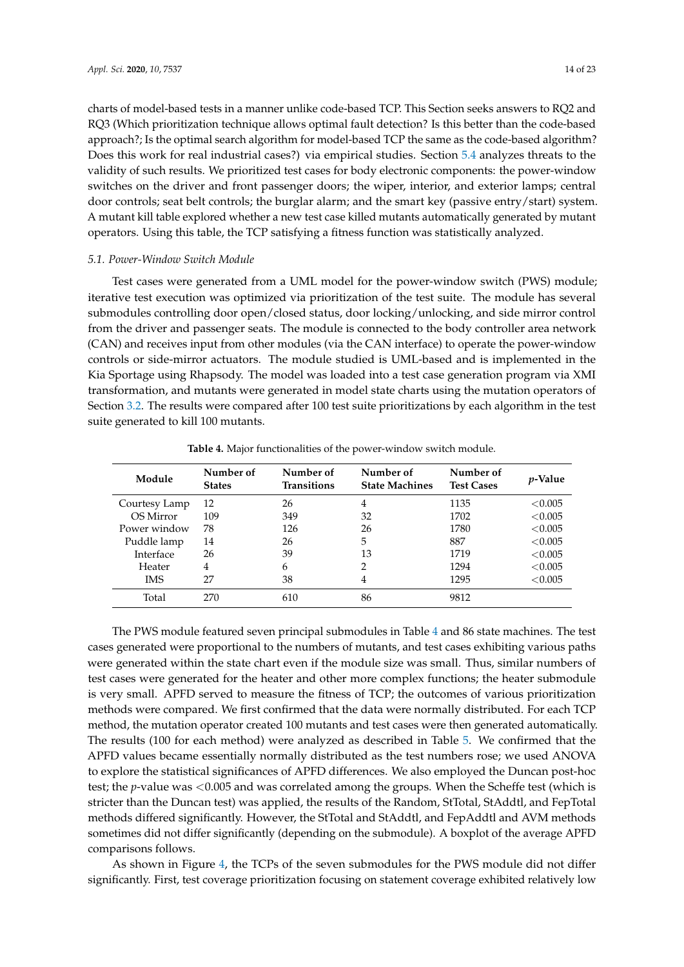charts of model-based tests in a manner unlike code-based TCP. This Section seeks answers to RQ2 and RQ3 (Which prioritization technique allows optimal fault detection? Is this better than the code-based approach?; Is the optimal search algorithm for model-based TCP the same as the code-based algorithm? Does this work for real industrial cases?) via empirical studies. Section [5.4](#page-18-0) analyzes threats to the validity of such results. We prioritized test cases for body electronic components: the power-window switches on the driver and front passenger doors; the wiper, interior, and exterior lamps; central door controls; seat belt controls; the burglar alarm; and the smart key (passive entry/start) system. A mutant kill table explored whether a new test case killed mutants automatically generated by mutant operators. Using this table, the TCP satisfying a fitness function was statistically analyzed.

# <span id="page-13-1"></span>*5.1. Power-Window Switch Module*

Test cases were generated from a UML model for the power-window switch (PWS) module; iterative test execution was optimized via prioritization of the test suite. The module has several submodules controlling door open/closed status, door locking/unlocking, and side mirror control from the driver and passenger seats. The module is connected to the body controller area network (CAN) and receives input from other modules (via the CAN interface) to operate the power-window controls or side-mirror actuators. The module studied is UML-based and is implemented in the Kia Sportage using Rhapsody. The model was loaded into a test case generation program via XMI transformation, and mutants were generated in model state charts using the mutation operators of Section [3.2.](#page-5-0) The results were compared after 100 test suite prioritizations by each algorithm in the test suite generated to kill 100 mutants.

<span id="page-13-0"></span>

| Module        | Number of<br><b>States</b> | Number of<br><b>Transitions</b> | Number of<br><b>State Machines</b> | Number of<br><b>Test Cases</b> | <i>v</i> -Value |
|---------------|----------------------------|---------------------------------|------------------------------------|--------------------------------|-----------------|
| Courtesy Lamp | 12                         | 26                              | 4                                  | 1135                           | < 0.005         |
| OS Mirror     | 109                        | 349                             | 32                                 | 1702                           | < 0.005         |
| Power window  | 78                         | 126                             | 26                                 | 1780                           | < 0.005         |
| Puddle lamp   | 14                         | 26                              | 5                                  | 887                            | < 0.005         |
| Interface     | 26                         | 39                              | 13                                 | 1719                           | < 0.005         |
| Heater        | 4                          | 6                               | $\mathcal{L}$                      | 1294                           | < 0.005         |
| <b>IMS</b>    | 27                         | 38                              | 4                                  | 1295                           | < 0.005         |
| Total         | 270                        | 610                             | 86                                 | 9812                           |                 |

**Table 4.** Major functionalities of the power-window switch module.

The PWS module featured seven principal submodules in Table [4](#page-13-0) and 86 state machines. The test cases generated were proportional to the numbers of mutants, and test cases exhibiting various paths were generated within the state chart even if the module size was small. Thus, similar numbers of test cases were generated for the heater and other more complex functions; the heater submodule is very small. APFD served to measure the fitness of TCP; the outcomes of various prioritization methods were compared. We first confirmed that the data were normally distributed. For each TCP method, the mutation operator created 100 mutants and test cases were then generated automatically. The results (100 for each method) were analyzed as described in Table [5.](#page-14-0) We confirmed that the APFD values became essentially normally distributed as the test numbers rose; we used ANOVA to explore the statistical significances of APFD differences. We also employed the Duncan post-hoc test; the *p*-value was <0.005 and was correlated among the groups. When the Scheffe test (which is stricter than the Duncan test) was applied, the results of the Random, StTotal, StAddtl, and FepTotal methods differed significantly. However, the StTotal and StAddtl, and FepAddtl and AVM methods sometimes did not differ significantly (depending on the submodule). A boxplot of the average APFD comparisons follows.

As shown in Figure [4,](#page-15-0) the TCPs of the seven submodules for the PWS module did not differ significantly. First, test coverage prioritization focusing on statement coverage exhibited relatively low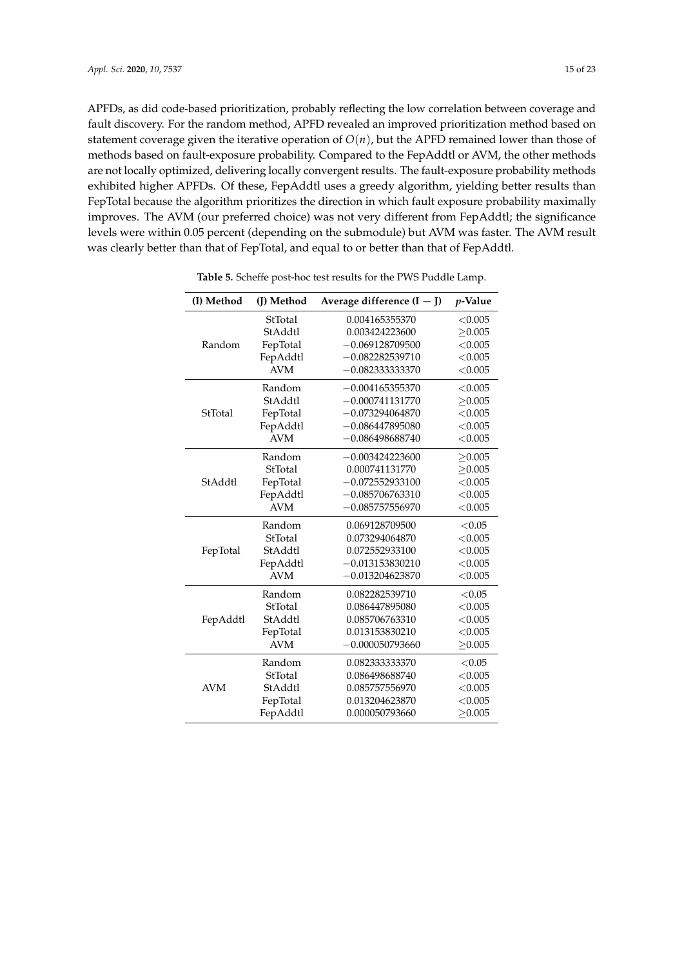APFDs, as did code-based prioritization, probably reflecting the low correlation between coverage and fault discovery. For the random method, APFD revealed an improved prioritization method based on statement coverage given the iterative operation of  $O(n)$ , but the APFD remained lower than those of methods based on fault-exposure probability. Compared to the FepAddtl or AVM, the other methods are not locally optimized, delivering locally convergent results. The fault-exposure probability methods exhibited higher APFDs. Of these, FepAddtl uses a greedy algorithm, yielding better results than FepTotal because the algorithm prioritizes the direction in which fault exposure probability maximally improves. The AVM (our preferred choice) was not very different from FepAddtl; the significance levels were within 0.05 percent (depending on the submodule) but AVM was faster. The AVM result was clearly better than that of FepTotal, and equal to or better than that of FepAddtl.

<span id="page-14-0"></span>

| (I) Method | (J) Method | Average difference $(I - J)$ | p-Value       |
|------------|------------|------------------------------|---------------|
|            | StTotal    | 0.004165355370               | < 0.005       |
|            | StAddtl    | 0.003424223600               | $\geq 0.005$  |
| Random     | FepTotal   | $-0.069128709500$            | < 0.005       |
|            | FepAddtl   | $-0.082282539710$            | < 0.005       |
|            | <b>AVM</b> | $-0.082333333370$            | < 0.005       |
|            | Random     | $-0.004165355370$            | < 0.005       |
|            | StAddtl    | $-0.000741131770$            | $\geq 0.005$  |
| StTotal    | FepTotal   | $-0.073294064870$            | < 0.005       |
|            | FepAddtl   | $-0.086447895080$            | < 0.005       |
|            | <b>AVM</b> | $-0.086498688740$            | < 0.005       |
|            | Random     | $-0.003424223600$            | ${\geq}0.005$ |
|            | StTotal    | 0.000741131770               | $\geq 0.005$  |
| StAddtl    | FepTotal   | $-0.072552933100$            | < 0.005       |
|            | FepAddtl   | $-0.085706763310$            | < 0.005       |
|            | <b>AVM</b> | $-0.085757556970$            | < 0.005       |
|            | Random     | 0.069128709500               | < 0.05        |
|            | StTotal    | 0.073294064870               | < 0.005       |
| FepTotal   | StAddtl    | 0.072552933100               | < 0.005       |
|            | FepAddtl   | $-0.013153830210$            | < 0.005       |
|            | <b>AVM</b> | $-0.013204623870$            | < 0.005       |
|            | Random     | 0.082282539710               | < 0.05        |
|            | StTotal    | 0.086447895080               | < 0.005       |
| FepAddtl   | StAddtl    | 0.085706763310               | < 0.005       |
|            | FepTotal   | 0.013153830210               | < 0.005       |
|            | <b>AVM</b> | $-0.000050793660$            | $\geq 0.005$  |
|            | Random     | 0.082333333370               | < 0.05        |
|            | StTotal    | 0.086498688740               | < 0.005       |
| AVM        | StAddtl    | 0.085757556970               | < 0.005       |
|            | FepTotal   | 0.013204623870               | < 0.005       |
|            | FepAddtl   | 0.000050793660               | >0.005        |

**Table 5.** Scheffe post-hoc test results for the PWS Puddle Lamp.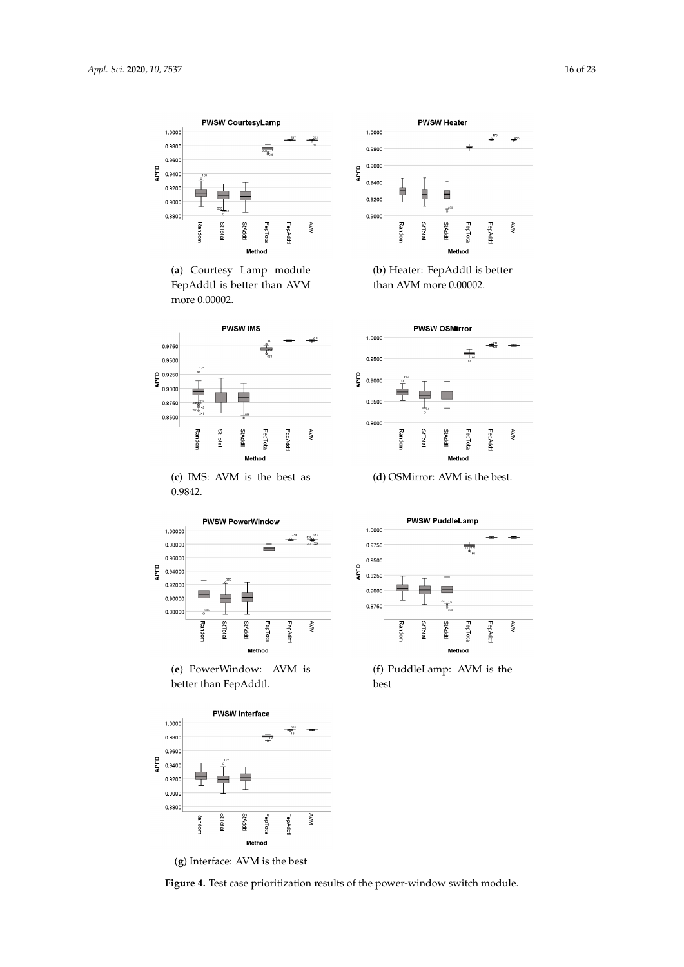<span id="page-15-0"></span>

![](_page_15_Figure_2.jpeg)

![](_page_15_Figure_3.jpeg)

(**c**) IMS: AVM is the best as 0.9842.

![](_page_15_Figure_5.jpeg)

(**b**) Heater: FepAddtl is better than AVM more 0.00002.

![](_page_15_Figure_7.jpeg)

(**d**) OSMirror: AVM is the best.

**PWSW PuddleLamp** 

(**f**) PuddleLamp: AVM is the

**iPod** epTotal epAddt

**StTotal** 

Karluon

**KW** 

best

1.0000

0.9750

0.950

0.9250

0.9000

0.875

APFD

![](_page_15_Figure_9.jpeg)

![](_page_15_Figure_10.jpeg)

![](_page_15_Figure_11.jpeg)

(**g**) Interface: AVM is the best

**Figure 4.** Test case prioritization results of the power-window switch module.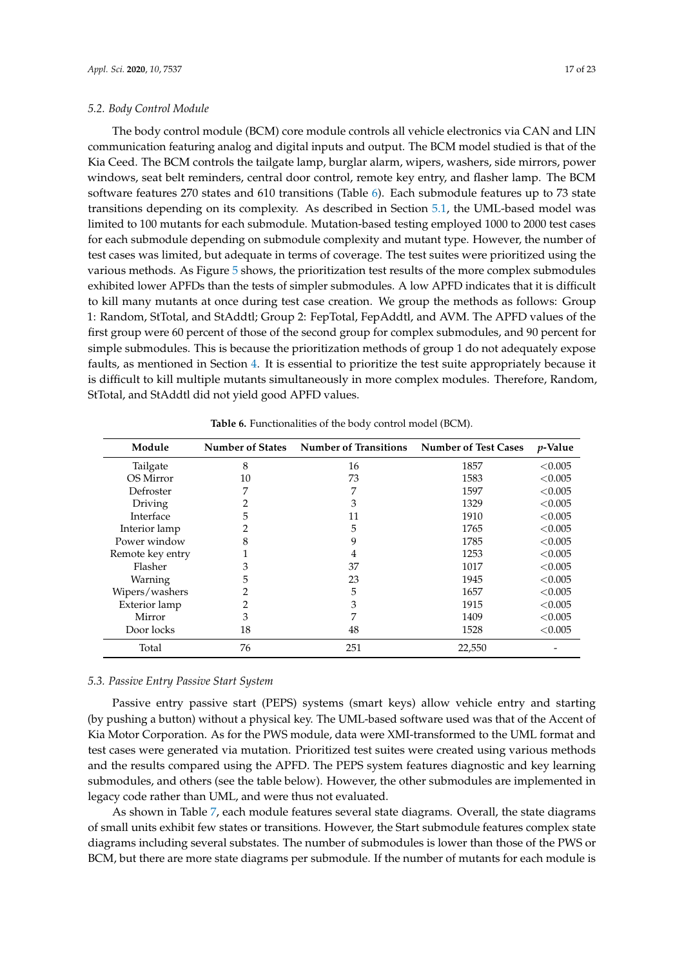# *5.2. Body Control Module*

The body control module (BCM) core module controls all vehicle electronics via CAN and LIN communication featuring analog and digital inputs and output. The BCM model studied is that of the Kia Ceed. The BCM controls the tailgate lamp, burglar alarm, wipers, washers, side mirrors, power windows, seat belt reminders, central door control, remote key entry, and flasher lamp. The BCM software features 270 states and 610 transitions (Table [6\)](#page-16-0). Each submodule features up to 73 state transitions depending on its complexity. As described in Section [5.1,](#page-13-1) the UML-based model was limited to 100 mutants for each submodule. Mutation-based testing employed 1000 to 2000 test cases for each submodule depending on submodule complexity and mutant type. However, the number of test cases was limited, but adequate in terms of coverage. The test suites were prioritized using the various methods. As Figure [5](#page-17-0) shows, the prioritization test results of the more complex submodules exhibited lower APFDs than the tests of simpler submodules. A low APFD indicates that it is difficult to kill many mutants at once during test case creation. We group the methods as follows: Group 1: Random, StTotal, and StAddtl; Group 2: FepTotal, FepAddtl, and AVM. The APFD values of the first group were 60 percent of those of the second group for complex submodules, and 90 percent for simple submodules. This is because the prioritization methods of group 1 do not adequately expose faults, as mentioned in Section [4.](#page-9-0) It is essential to prioritize the test suite appropriately because it is difficult to kill multiple mutants simultaneously in more complex modules. Therefore, Random, StTotal, and StAddtl did not yield good APFD values.

<span id="page-16-0"></span>

| Module           | <b>Number of States</b> | <b>Number of Transitions</b> | <b>Number of Test Cases</b> | $p$ -Value |
|------------------|-------------------------|------------------------------|-----------------------------|------------|
| Tailgate         | 8                       | 16                           | 1857                        | < 0.005    |
| OS Mirror        | 10                      | 73                           | 1583                        | < 0.005    |
| Defroster        | 7                       |                              | 1597                        | < 0.005    |
| Driving          |                         | 3                            | 1329                        | < 0.005    |
| Interface        | 5                       | 11                           | 1910                        | < 0.005    |
| Interior lamp    |                         | 5                            | 1765                        | < 0.005    |
| Power window     | 8                       | 9                            | 1785                        | < 0.005    |
| Remote key entry |                         | 4                            | 1253                        | < 0.005    |
| Flasher          | З                       | 37                           | 1017                        | < 0.005    |
| Warning          | 5                       | 23                           | 1945                        | < 0.005    |
| Wipers/washers   |                         | 5                            | 1657                        | < 0.005    |
| Exterior lamp    | 2                       | 3                            | 1915                        | < 0.005    |
| Mirror           | 3                       | 7                            | 1409                        | ${<}0.005$ |
| Door locks       | 18                      | 48                           | 1528                        | < 0.005    |
| Total            | 76                      | 251                          | 22,550                      |            |

**Table 6.** Functionalities of the body control model (BCM).

#### *5.3. Passive Entry Passive Start System*

Passive entry passive start (PEPS) systems (smart keys) allow vehicle entry and starting (by pushing a button) without a physical key. The UML-based software used was that of the Accent of Kia Motor Corporation. As for the PWS module, data were XMI-transformed to the UML format and test cases were generated via mutation. Prioritized test suites were created using various methods and the results compared using the APFD. The PEPS system features diagnostic and key learning submodules, and others (see the table below). However, the other submodules are implemented in legacy code rather than UML, and were thus not evaluated.

As shown in Table [7,](#page-18-1) each module features several state diagrams. Overall, the state diagrams of small units exhibit few states or transitions. However, the Start submodule features complex state diagrams including several substates. The number of submodules is lower than those of the PWS or BCM, but there are more state diagrams per submodule. If the number of mutants for each module is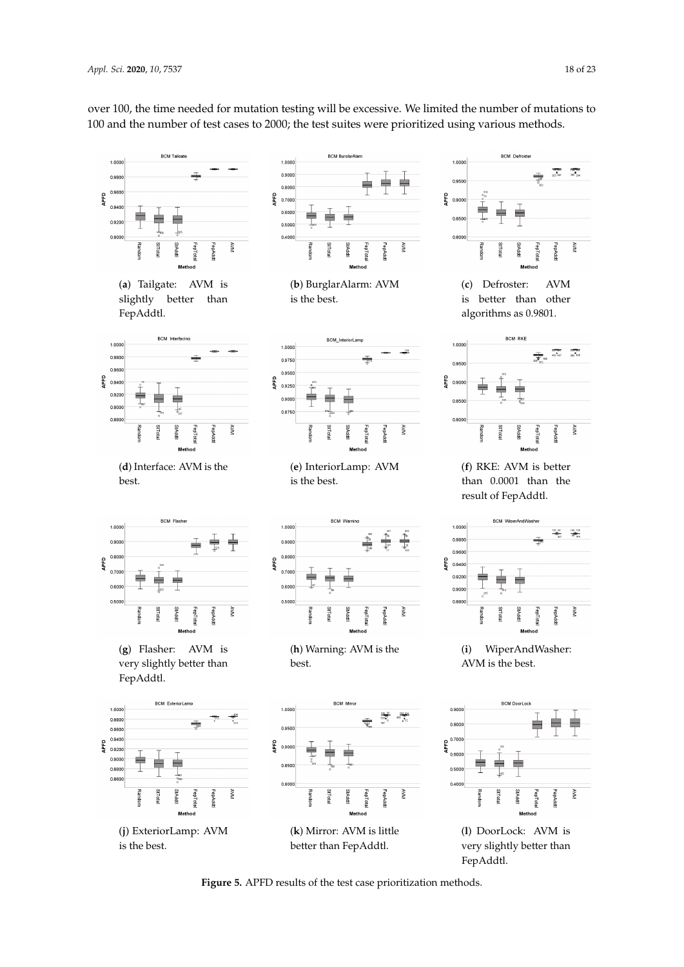over 100, the time needed for mutation testing will be excessive. We limited the number of mutations to 100 and the number of test cases to 2000; the test suites were prioritized using various methods.

<span id="page-17-0"></span>![](_page_17_Figure_2.jpeg)

**Figure 5.** APFD results of the test case prioritization methods.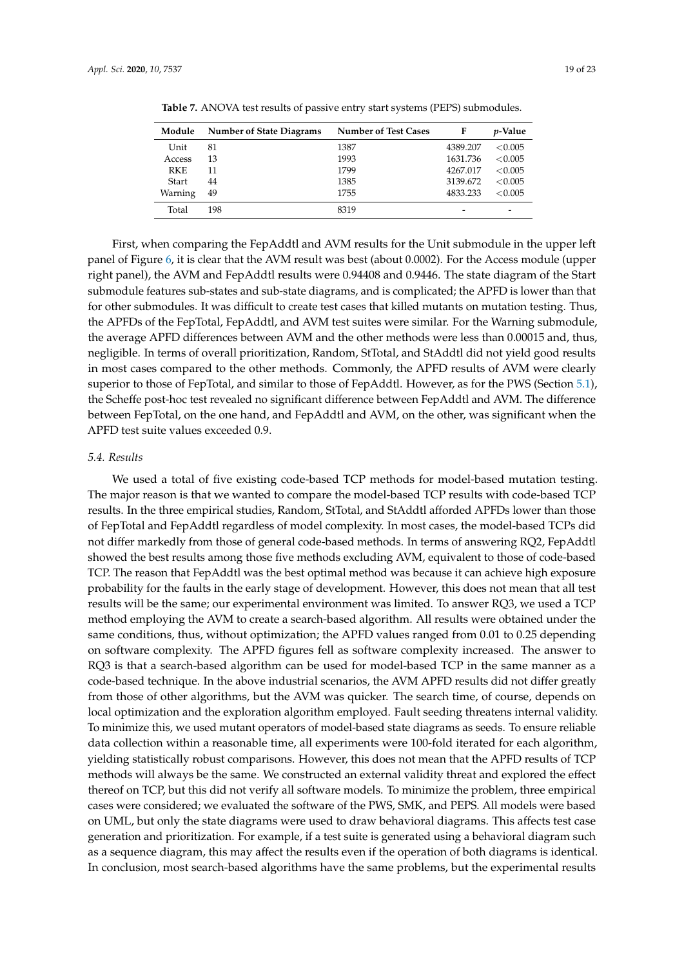| Module     | <b>Number of State Diagrams</b> | <b>Number of Test Cases</b> | F        | <i>p</i> -Value |
|------------|---------------------------------|-----------------------------|----------|-----------------|
| Unit       | 81                              | 1387                        | 4389.207 | < 0.005         |
| Access     | 13                              | 1993                        | 1631.736 | < 0.005         |
| <b>RKE</b> | 11                              | 1799                        | 4267.017 | < 0.005         |
| Start      | 44                              | 1385                        | 3139.672 | < 0.005         |
| Warning    | 49                              | 1755                        | 4833.233 | < 0.005         |
| Total      | 198                             | 8319                        |          |                 |

<span id="page-18-1"></span>**Table 7.** ANOVA test results of passive entry start systems (PEPS) submodules.

First, when comparing the FepAddtl and AVM results for the Unit submodule in the upper left panel of Figure [6,](#page-19-0) it is clear that the AVM result was best (about 0.0002). For the Access module (upper right panel), the AVM and FepAddtl results were 0.94408 and 0.9446. The state diagram of the Start submodule features sub-states and sub-state diagrams, and is complicated; the APFD is lower than that for other submodules. It was difficult to create test cases that killed mutants on mutation testing. Thus, the APFDs of the FepTotal, FepAddtl, and AVM test suites were similar. For the Warning submodule, the average APFD differences between AVM and the other methods were less than 0.00015 and, thus, negligible. In terms of overall prioritization, Random, StTotal, and StAddtl did not yield good results in most cases compared to the other methods. Commonly, the APFD results of AVM were clearly superior to those of FepTotal, and similar to those of FepAddtl. However, as for the PWS (Section [5.1\)](#page-13-1), the Scheffe post-hoc test revealed no significant difference between FepAddtl and AVM. The difference between FepTotal, on the one hand, and FepAddtl and AVM, on the other, was significant when the APFD test suite values exceeded 0.9.

# <span id="page-18-0"></span>*5.4. Results*

We used a total of five existing code-based TCP methods for model-based mutation testing. The major reason is that we wanted to compare the model-based TCP results with code-based TCP results. In the three empirical studies, Random, StTotal, and StAddtl afforded APFDs lower than those of FepTotal and FepAddtl regardless of model complexity. In most cases, the model-based TCPs did not differ markedly from those of general code-based methods. In terms of answering RQ2, FepAddtl showed the best results among those five methods excluding AVM, equivalent to those of code-based TCP. The reason that FepAddtl was the best optimal method was because it can achieve high exposure probability for the faults in the early stage of development. However, this does not mean that all test results will be the same; our experimental environment was limited. To answer RQ3, we used a TCP method employing the AVM to create a search-based algorithm. All results were obtained under the same conditions, thus, without optimization; the APFD values ranged from 0.01 to 0.25 depending on software complexity. The APFD figures fell as software complexity increased. The answer to RQ3 is that a search-based algorithm can be used for model-based TCP in the same manner as a code-based technique. In the above industrial scenarios, the AVM APFD results did not differ greatly from those of other algorithms, but the AVM was quicker. The search time, of course, depends on local optimization and the exploration algorithm employed. Fault seeding threatens internal validity. To minimize this, we used mutant operators of model-based state diagrams as seeds. To ensure reliable data collection within a reasonable time, all experiments were 100-fold iterated for each algorithm, yielding statistically robust comparisons. However, this does not mean that the APFD results of TCP methods will always be the same. We constructed an external validity threat and explored the effect thereof on TCP, but this did not verify all software models. To minimize the problem, three empirical cases were considered; we evaluated the software of the PWS, SMK, and PEPS. All models were based on UML, but only the state diagrams were used to draw behavioral diagrams. This affects test case generation and prioritization. For example, if a test suite is generated using a behavioral diagram such as a sequence diagram, this may affect the results even if the operation of both diagrams is identical. In conclusion, most search-based algorithms have the same problems, but the experimental results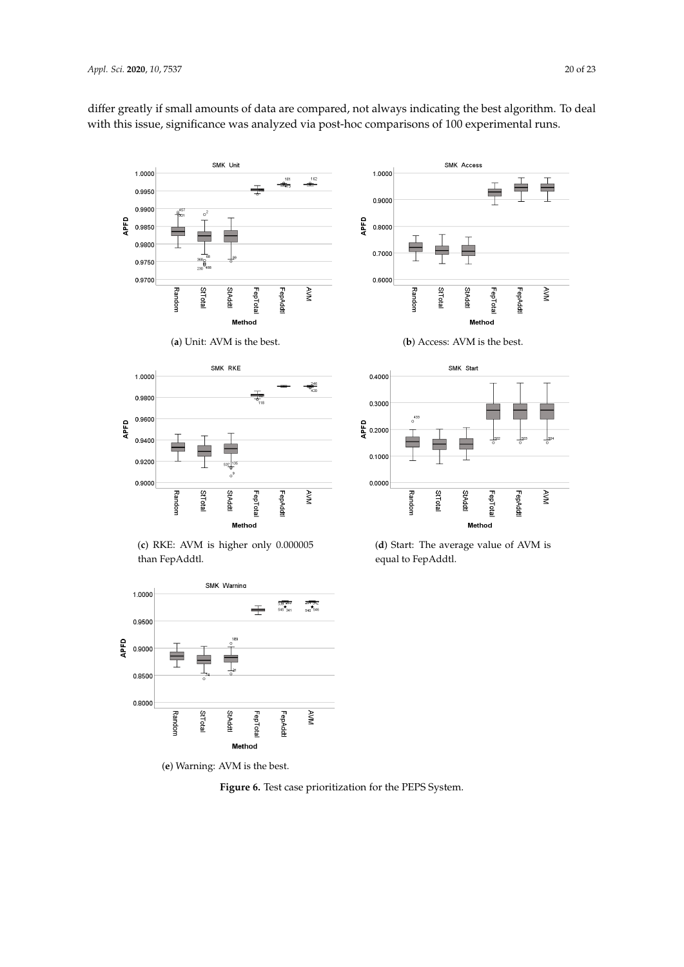<span id="page-19-0"></span>![](_page_19_Figure_1.jpeg)

differ greatly if small amounts of data are compared, not always indicating the best algorithm. To deal with this issue, significance was analyzed via post-hoc comparisons of 100 experimental runs.

![](_page_19_Figure_3.jpeg)

(**e**) Warning: AVM is the best.

**Figure 6.** Test case prioritization for the PEPS System.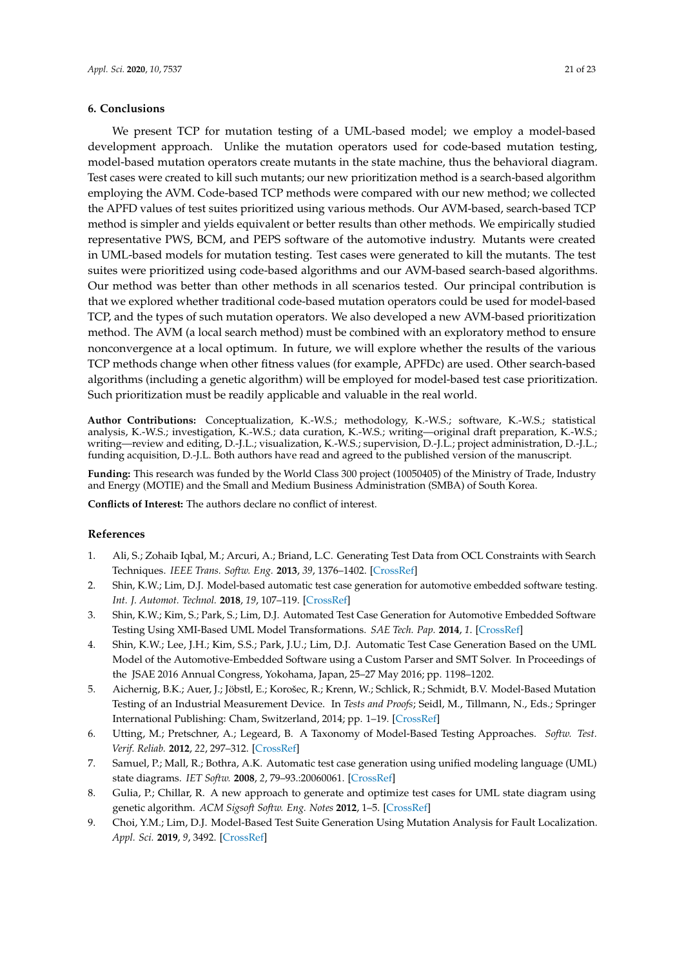# <span id="page-20-1"></span>**6. Conclusions**

We present TCP for mutation testing of a UML-based model; we employ a model-based development approach. Unlike the mutation operators used for code-based mutation testing, model-based mutation operators create mutants in the state machine, thus the behavioral diagram. Test cases were created to kill such mutants; our new prioritization method is a search-based algorithm employing the AVM. Code-based TCP methods were compared with our new method; we collected the APFD values of test suites prioritized using various methods. Our AVM-based, search-based TCP method is simpler and yields equivalent or better results than other methods. We empirically studied representative PWS, BCM, and PEPS software of the automotive industry. Mutants were created in UML-based models for mutation testing. Test cases were generated to kill the mutants. The test suites were prioritized using code-based algorithms and our AVM-based search-based algorithms. Our method was better than other methods in all scenarios tested. Our principal contribution is that we explored whether traditional code-based mutation operators could be used for model-based TCP, and the types of such mutation operators. We also developed a new AVM-based prioritization method. The AVM (a local search method) must be combined with an exploratory method to ensure nonconvergence at a local optimum. In future, we will explore whether the results of the various TCP methods change when other fitness values (for example, APFDc) are used. Other search-based algorithms (including a genetic algorithm) will be employed for model-based test case prioritization. Such prioritization must be readily applicable and valuable in the real world.

**Author Contributions:** Conceptualization, K.-W.S.; methodology, K.-W.S.; software, K.-W.S.; statistical analysis, K.-W.S.; investigation, K.-W.S.; data curation, K.-W.S.; writing—original draft preparation, K.-W.S.; writing—review and editing, D.-J.L.; visualization, K.-W.S.; supervision, D.-J.L.; project administration, D.-J.L.; funding acquisition, D.-J.L. Both authors have read and agreed to the published version of the manuscript.

**Funding:** This research was funded by the World Class 300 project (10050405) of the Ministry of Trade, Industry and Energy (MOTIE) and the Small and Medium Business Administration (SMBA) of South Korea.

**Conflicts of Interest:** The authors declare no conflict of interest.

#### **References**

- <span id="page-20-0"></span>1. Ali, S.; Zohaib Iqbal, M.; Arcuri, A.; Briand, L.C. Generating Test Data from OCL Constraints with Search Techniques. *IEEE Trans. Softw. Eng.* **2013**, *39*, 1376–1402. [\[CrossRef\]](http://dx.doi.org/10.1109/TSE.2013.17)
- <span id="page-20-2"></span>2. Shin, K.W.; Lim, D.J. Model-based automatic test case generation for automotive embedded software testing. *Int. J. Automot. Technol.* **2018**, *19*, 107–119. [\[CrossRef\]](http://dx.doi.org/10.1007/s12239-018-0011-6)
- <span id="page-20-3"></span>3. Shin, K.W.; Kim, S.; Park, S.; Lim, D.J. Automated Test Case Generation for Automotive Embedded Software Testing Using XMI-Based UML Model Transformations. *SAE Tech. Pap.* **2014**, *1*. [\[CrossRef\]](http://dx.doi.org/10.4271/2014-01-0315)
- <span id="page-20-4"></span>4. Shin, K.W.; Lee, J.H.; Kim, S.S.; Park, J.U.; Lim, D.J. Automatic Test Case Generation Based on the UML Model of the Automotive-Embedded Software using a Custom Parser and SMT Solver. In Proceedings of the JSAE 2016 Annual Congress, Yokohama, Japan, 25–27 May 2016; pp. 1198–1202.
- <span id="page-20-5"></span>5. Aichernig, B.K.; Auer, J.; Jöbstl, E.; Korošec, R.; Krenn, W.; Schlick, R.; Schmidt, B.V. Model-Based Mutation Testing of an Industrial Measurement Device. In *Tests and Proofs*; Seidl, M., Tillmann, N., Eds.; Springer International Publishing: Cham, Switzerland, 2014; pp. 1–19. [\[CrossRef\]](http://dx.doi.org/10.1007/978-3-319-09099-3_1)
- <span id="page-20-6"></span>6. Utting, M.; Pretschner, A.; Legeard, B. A Taxonomy of Model-Based Testing Approaches. *Softw. Test. Verif. Reliab.* **2012**, *22*, 297–312. [\[CrossRef\]](http://dx.doi.org/10.1002/stvr.456)
- <span id="page-20-7"></span>7. Samuel, P.; Mall, R.; Bothra, A.K. Automatic test case generation using unified modeling language (UML) state diagrams. *IET Softw.* **2008**, *2*, 79–93.:20060061. [\[CrossRef\]](http://dx.doi.org/10.1049/iet-sen:20060061)
- <span id="page-20-8"></span>8. Gulia, P.; Chillar, R. A new approach to generate and optimize test cases for UML state diagram using genetic algorithm. *ACM Sigsoft Softw. Eng. Notes* **2012**, 1–5. [\[CrossRef\]](http://dx.doi.org/10.1145/2180921.2180933)
- <span id="page-20-9"></span>9. Choi, Y.M.; Lim, D.J. Model-Based Test Suite Generation Using Mutation Analysis for Fault Localization. *Appl. Sci.* **2019**, *9*, 3492. [\[CrossRef\]](http://dx.doi.org/10.3390/app9173492)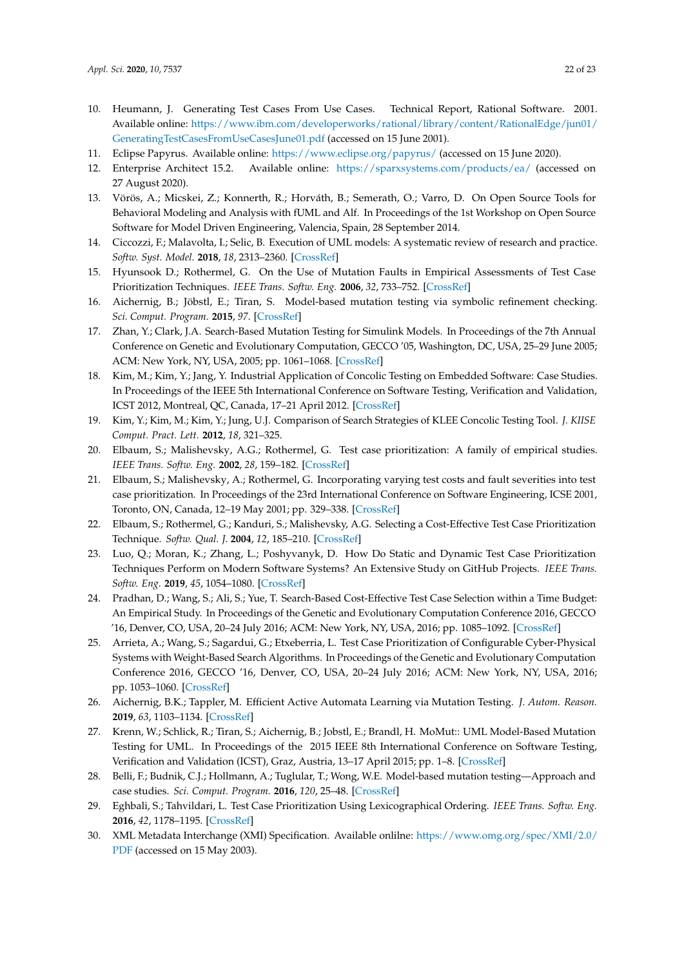- <span id="page-21-0"></span>10. Heumann, J. Generating Test Cases From Use Cases. Technical Report, Rational Software. 2001. Available online: [https://www.ibm.com/developerworks/rational/library/content/RationalEdge/jun01/](https://www.ibm.com/developerworks/rational/library/content/RationalEdge/jun01/GeneratingTestCasesFromUseCasesJune01.pdf) [GeneratingTestCasesFromUseCasesJune01.pdf](https://www.ibm.com/developerworks/rational/library/content/RationalEdge/jun01/GeneratingTestCasesFromUseCasesJune01.pdf) (accessed on 15 June 2001).
- <span id="page-21-1"></span>11. Eclipse Papyrus. Available online: <https://www.eclipse.org/papyrus/> (accessed on 15 June 2020).
- <span id="page-21-2"></span>12. Enterprise Architect 15.2. Available online: <https://sparxsystems.com/products/ea/> (accessed on 27 August 2020).
- <span id="page-21-3"></span>13. Vörös, A.; Micskei, Z.; Konnerth, R.; Horváth, B.; Semerath, O.; Varro, D. On Open Source Tools for Behavioral Modeling and Analysis with fUML and Alf. In Proceedings of the 1st Workshop on Open Source Software for Model Driven Engineering, Valencia, Spain, 28 September 2014.
- <span id="page-21-4"></span>14. Ciccozzi, F.; Malavolta, I.; Selic, B. Execution of UML models: A systematic review of research and practice. *Softw. Syst. Model.* **2018**, *18*, 2313–2360. [\[CrossRef\]](http://dx.doi.org/10.1007/s10270-018-0675-4)
- <span id="page-21-5"></span>15. Hyunsook D.; Rothermel, G. On the Use of Mutation Faults in Empirical Assessments of Test Case Prioritization Techniques. *IEEE Trans. Softw. Eng.* **2006**, *32*, 733–752. [\[CrossRef\]](http://dx.doi.org/10.1109/TSE.2006.92)
- <span id="page-21-6"></span>16. Aichernig, B.; Jöbstl, E.; Tiran, S. Model-based mutation testing via symbolic refinement checking. *Sci. Comput. Program.* **2015**, *97*. [\[CrossRef\]](http://dx.doi.org/10.1016/j.scico.2014.05.004)
- <span id="page-21-7"></span>17. Zhan, Y.; Clark, J.A. Search-Based Mutation Testing for Simulink Models. In Proceedings of the 7th Annual Conference on Genetic and Evolutionary Computation, GECCO '05, Washington, DC, USA, 25–29 June 2005; ACM: New York, NY, USA, 2005; pp. 1061–1068. [\[CrossRef\]](http://dx.doi.org/10.1145/1068009.1068188)
- <span id="page-21-8"></span>18. Kim, M.; Kim, Y.; Jang, Y. Industrial Application of Concolic Testing on Embedded Software: Case Studies. In Proceedings of the IEEE 5th International Conference on Software Testing, Verification and Validation, ICST 2012, Montreal, QC, Canada, 17–21 April 2012. [\[CrossRef\]](http://dx.doi.org/10.1109/ICST.2012.119)
- <span id="page-21-9"></span>19. Kim, Y.; Kim, M.; Kim, Y.; Jung, U.J. Comparison of Search Strategies of KLEE Concolic Testing Tool. *J. KIISE Comput. Pract. Lett.* **2012**, *18*, 321–325.
- <span id="page-21-10"></span>20. Elbaum, S.; Malishevsky, A.G.; Rothermel, G. Test case prioritization: A family of empirical studies. *IEEE Trans. Softw. Eng.* **2002**, *28*, 159–182. [\[CrossRef\]](http://dx.doi.org/10.1109/32.988497)
- <span id="page-21-20"></span>21. Elbaum, S.; Malishevsky, A.; Rothermel, G. Incorporating varying test costs and fault severities into test case prioritization. In Proceedings of the 23rd International Conference on Software Engineering, ICSE 2001, Toronto, ON, Canada, 12–19 May 2001; pp. 329–338. [\[CrossRef\]](http://dx.doi.org/10.1109/ICSE.2001.919106)
- <span id="page-21-11"></span>22. Elbaum, S.; Rothermel, G.; Kanduri, S.; Malishevsky, A.G. Selecting a Cost-Effective Test Case Prioritization Technique. *Softw. Qual. J.* **2004**, *12*, 185–210. [\[CrossRef\]](http://dx.doi.org/10.1023/B:SQJO.0000034708.84524.22)
- <span id="page-21-12"></span>23. Luo, Q.; Moran, K.; Zhang, L.; Poshyvanyk, D. How Do Static and Dynamic Test Case Prioritization Techniques Perform on Modern Software Systems? An Extensive Study on GitHub Projects. *IEEE Trans. Softw. Eng.* **2019**, *45*, 1054–1080. [\[CrossRef\]](http://dx.doi.org/10.1109/TSE.2018.2822270)
- <span id="page-21-13"></span>24. Pradhan, D.; Wang, S.; Ali, S.; Yue, T. Search-Based Cost-Effective Test Case Selection within a Time Budget: An Empirical Study. In Proceedings of the Genetic and Evolutionary Computation Conference 2016, GECCO '16, Denver, CO, USA, 20–24 July 2016; ACM: New York, NY, USA, 2016; pp. 1085–1092. [\[CrossRef\]](http://dx.doi.org/10.1145/2908812.2908850)
- <span id="page-21-14"></span>25. Arrieta, A.; Wang, S.; Sagardui, G.; Etxeberria, L. Test Case Prioritization of Configurable Cyber-Physical Systems with Weight-Based Search Algorithms. In Proceedings of the Genetic and Evolutionary Computation Conference 2016, GECCO '16, Denver, CO, USA, 20–24 July 2016; ACM: New York, NY, USA, 2016; pp. 1053–1060. [\[CrossRef\]](http://dx.doi.org/10.1145/2908812.2908871)
- <span id="page-21-15"></span>26. Aichernig, B.K.; Tappler, M. Efficient Active Automata Learning via Mutation Testing. *J. Autom. Reason.* **2019**, *63*, 1103–1134. [\[CrossRef\]](http://dx.doi.org/10.1007/s10817-018-9486-0)
- <span id="page-21-16"></span>27. Krenn, W.; Schlick, R.; Tiran, S.; Aichernig, B.; Jobstl, E.; Brandl, H. MoMut:: UML Model-Based Mutation Testing for UML. In Proceedings of the 2015 IEEE 8th International Conference on Software Testing, Verification and Validation (ICST), Graz, Austria, 13–17 April 2015; pp. 1–8. [\[CrossRef\]](http://dx.doi.org/10.1109/ICST.2015.7102627)
- <span id="page-21-17"></span>28. Belli, F.; Budnik, C.J.; Hollmann, A.; Tuglular, T.; Wong, W.E. Model-based mutation testing—Approach and case studies. *Sci. Comput. Program.* **2016**, *120*, 25–48. [\[CrossRef\]](http://dx.doi.org/10.1016/j.scico.2016.01.003)
- <span id="page-21-18"></span>29. Eghbali, S.; Tahvildari, L. Test Case Prioritization Using Lexicographical Ordering. *IEEE Trans. Softw. Eng.* **2016**, *42*, 1178–1195. [\[CrossRef\]](http://dx.doi.org/10.1109/TSE.2016.2550441)
- <span id="page-21-19"></span>30. XML Metadata Interchange (XMI) Specification. Available onlilne: [https://www.omg.org/spec/XMI/2.0/](https://www.omg.org/spec/XMI/2.0/PDF) [PDF](https://www.omg.org/spec/XMI/2.0/PDF) (accessed on 15 May 2003).